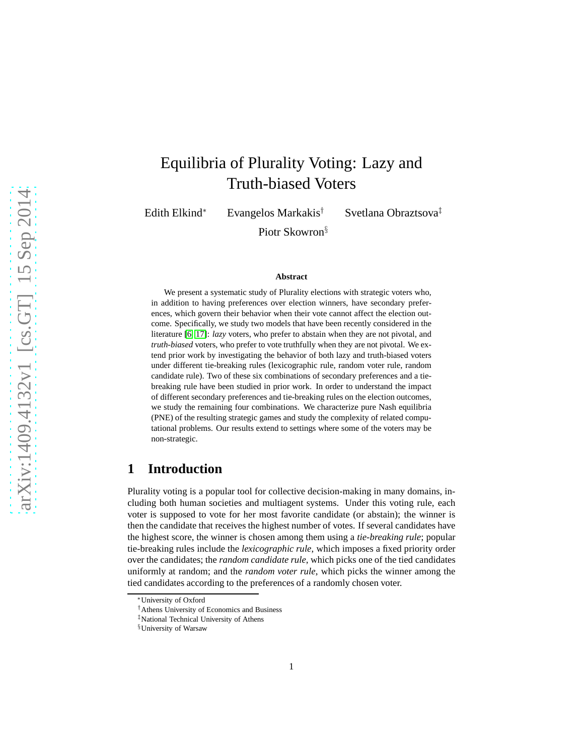# Equilibria of Plurality Voting: Lazy and Truth-biased Voters

Edith Elkind<sup>∗</sup> Evangelos Markakis† Svetlana Obraztsova‡

Piotr Skowron§

#### **Abstract**

We present a systematic study of Plurality elections with strategic voters who, in addition to having preferences over election winners, have secondary preferences, which govern their behavior when their vote cannot affect the election outcome. Specifically, we study two models that have been recently considered in the literature [\[6,](#page-12-0) [17\]](#page-12-1): *lazy* voters, who prefer to abstain when they are not pivotal, and *truth-biased* voters, who prefer to vote truthfully when they are not pivotal. We extend prior work by investigating the behavior of both lazy and truth-biased voters under different tie-breaking rules (lexicographic rule, random voter rule, random candidate rule). Two of these six combinations of secondary preferences and a tiebreaking rule have been studied in prior work. In order to understand the impact of different secondary preferences and tie-breaking rules on the election outcomes, we study the remaining four combinations. We characterize pure Nash equilibria (PNE) of the resulting strategic games and study the complexity of related computational problems. Our results extend to settings where some of the voters may be non-strategic.

### **1 Introduction**

Plurality voting is a popular tool for collective decision-making in many domains, including both human societies and multiagent systems. Under this voting rule, each voter is supposed to vote for her most favorite candidate (or abstain); the winner is then the candidate that receives the highest number of votes. If several candidates have the highest score, the winner is chosen among them using a *tie-breaking rule*; popular tie-breaking rules include the *lexicographic rule*, which imposes a fixed priority order over the candidates; the *random candidate rule*, which picks one of the tied candidates uniformly at random; and the *random voter rule*, which picks the winner among the tied candidates according to the preferences of a randomly chosen voter.

<sup>∗</sup>University of Oxford

<sup>†</sup>Athens University of Economics and Business

<sup>‡</sup>National Technical University of Athens

<sup>§</sup>University of Warsaw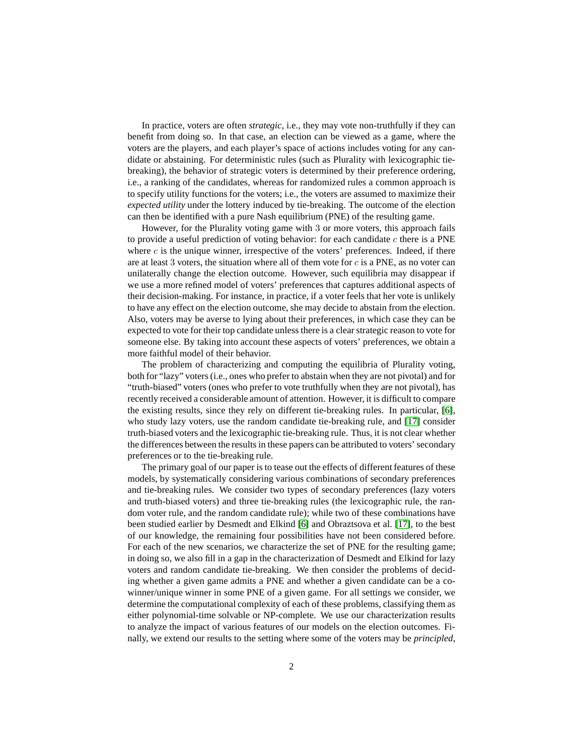In practice, voters are often *strategic*, i.e., they may vote non-truthfully if they can benefit from doing so. In that case, an election can be viewed as a game, where the voters are the players, and each player's space of actions includes voting for any candidate or abstaining. For deterministic rules (such as Plurality with lexicographic tiebreaking), the behavior of strategic voters is determined by their preference ordering, i.e., a ranking of the candidates, whereas for randomized rules a common approach is to specify utility functions for the voters; i.e., the voters are assumed to maximize their *expected utility* under the lottery induced by tie-breaking. The outcome of the election can then be identified with a pure Nash equilibrium (PNE) of the resulting game.

However, for the Plurality voting game with 3 or more voters, this approach fails to provide a useful prediction of voting behavior: for each candidate  $c$  there is a PNE where  $c$  is the unique winner, irrespective of the voters' preferences. Indeed, if there are at least 3 voters, the situation where all of them vote for  $c$  is a PNE, as no voter can unilaterally change the election outcome. However, such equilibria may disappear if we use a more refined model of voters' preferences that captures additional aspects of their decision-making. For instance, in practice, if a voter feels that her vote is unlikely to have any effect on the election outcome, she may decide to abstain from the election. Also, voters may be averse to lying about their preferences, in which case they can be expected to vote for their top candidate unless there is a clear strategic reason to vote for someone else. By taking into account these aspects of voters' preferences, we obtain a more faithful model of their behavior.

The problem of characterizing and computing the equilibria of Plurality voting, both for "lazy" voters (i.e., ones who prefer to abstain when they are not pivotal) and for "truth-biased" voters (ones who prefer to vote truthfully when they are not pivotal), has recently received a considerable amount of attention. However, it is difficult to compare the existing results, since they rely on different tie-breaking rules. In particular, [\[6\]](#page-12-0), who study lazy voters, use the random candidate tie-breaking rule, and [\[17\]](#page-12-1) consider truth-biased voters and the lexicographic tie-breaking rule. Thus, it is not clear whether the differences between the results in these papers can be attributed to voters' secondary preferences or to the tie-breaking rule.

The primary goal of our paper is to tease out the effects of different features of these models, by systematically considering various combinations of secondary preferences and tie-breaking rules. We consider two types of secondary preferences (lazy voters and truth-biased voters) and three tie-breaking rules (the lexicographic rule, the random voter rule, and the random candidate rule); while two of these combinations have been studied earlier by Desmedt and Elkind [\[6\]](#page-12-0) and Obraztsova et al. [\[17\]](#page-12-1), to the best of our knowledge, the remaining four possibilities have not been considered before. For each of the new scenarios, we characterize the set of PNE for the resulting game; in doing so, we also fill in a gap in the characterization of Desmedt and Elkind for lazy voters and random candidate tie-breaking. We then consider the problems of deciding whether a given game admits a PNE and whether a given candidate can be a cowinner/unique winner in some PNE of a given game. For all settings we consider, we determine the computational complexity of each of these problems, classifying them as either polynomial-time solvable or NP-complete. We use our characterization results to analyze the impact of various features of our models on the election outcomes. Finally, we extend our results to the setting where some of the voters may be *principled*,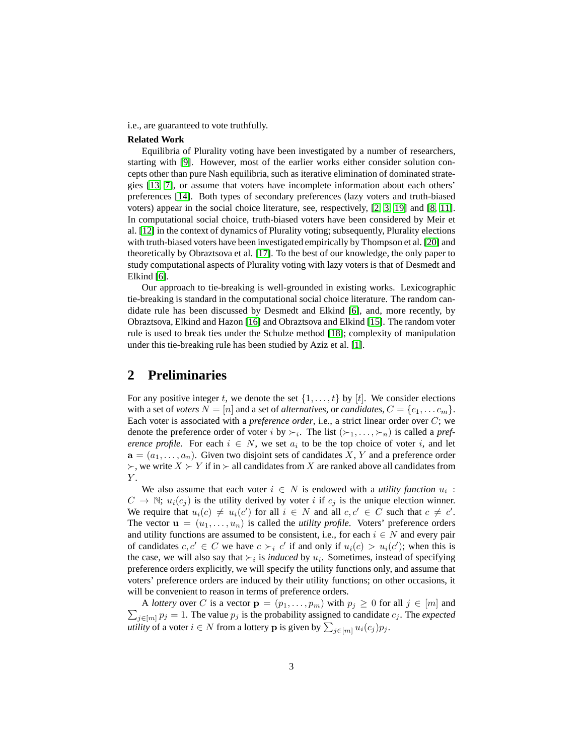i.e., are guaranteed to vote truthfully.

#### **Related Work**

Equilibria of Plurality voting have been investigated by a number of researchers, starting with [\[9\]](#page-12-2). However, most of the earlier works either consider solution concepts other than pure Nash equilibria, such as iterative elimination of dominated strategies [\[13,](#page-12-3) [7\]](#page-12-4), or assume that voters have incomplete information about each others' preferences [\[14\]](#page-12-5). Both types of secondary preferences (lazy voters and truth-biased voters) appear in the social choice literature, see, respectively, [\[2,](#page-12-6) [3,](#page-12-7) [19\]](#page-13-0) and [\[8,](#page-12-8) [11\]](#page-12-9). In computational social choice, truth-biased voters have been considered by Meir et al. [\[12\]](#page-12-10) in the context of dynamics of Plurality voting; subsequently, Plurality elections with truth-biased voters have been investigated empirically by Thompson et al. [\[20\]](#page-13-1) and theoretically by Obraztsova et al. [\[17\]](#page-12-1). To the best of our knowledge, the only paper to study computational aspects of Plurality voting with lazy voters is that of Desmedt and Elkind [\[6\]](#page-12-0).

Our approach to tie-breaking is well-grounded in existing works. Lexicographic tie-breaking is standard in the computational social choice literature. The random candidate rule has been discussed by Desmedt and Elkind [\[6\]](#page-12-0), and, more recently, by Obraztsova, Elkind and Hazon [\[16\]](#page-12-11) and Obraztsova and Elkind [\[15\]](#page-12-12). The random voter rule is used to break ties under the Schulze method [\[18\]](#page-13-2); complexity of manipulation under this tie-breaking rule has been studied by Aziz et al. [\[1\]](#page-12-13).

### **2 Preliminaries**

For any positive integer t, we denote the set  $\{1, \ldots, t\}$  by  $[t]$ . We consider elections with a set of *voters*  $N = [n]$  and a set of *alternatives*, or *candidates*,  $C = \{c_1, \ldots c_m\}$ . Each voter is associated with a *preference order*, i.e., a strict linear order over C; we denote the preference order of voter i by  $\succ_i$ . The list  $(\succ_1, \ldots, \succ_n)$  is called a *preference profile.* For each  $i \in N$ , we set  $a_i$  to be the top choice of voter i, and let  $a = (a_1, \ldots, a_n)$ . Given two disjoint sets of candidates X, Y and a preference order  $\succ$ , we write  $X \succ Y$  if in  $\succ$  all candidates from X are ranked above all candidates from Y.

We also assume that each voter  $i \in N$  is endowed with a *utility function*  $u_i$ :  $C \to \mathbb{N}$ ;  $u_i(c_j)$  is the utility derived by voter i if  $c_j$  is the unique election winner. We require that  $u_i(c) \neq u_i(c')$  for all  $i \in N$  and all  $c, c' \in C$  such that  $c \neq c'$ . The vector  $\mathbf{u} = (u_1, \dots, u_n)$  is called the *utility profile*. Voters' preference orders and utility functions are assumed to be consistent, i.e., for each  $i \in N$  and every pair of candidates  $c, c' \in C$  we have  $c \succ_i c'$  if and only if  $u_i(c) > u_i(c')$ ; when this is the case, we will also say that  $\succ_i$  is *induced* by  $u_i$ . Sometimes, instead of specifying preference orders explicitly, we will specify the utility functions only, and assume that voters' preference orders are induced by their utility functions; on other occasions, it will be convenient to reason in terms of preference orders.

 $\sum_{j \in [m]} p_j = 1$ . The value  $p_j$  is the probability assigned to candidate  $c_j$ . The *expected* A *lottery* over C is a vector  $\mathbf{p} = (p_1, \ldots, p_m)$  with  $p_j \geq 0$  for all  $j \in [m]$  and *utility* of a voter  $i \in N$  from a lottery **p** is given by  $\sum_{j \in [m]} u_i(c_j) p_j$ .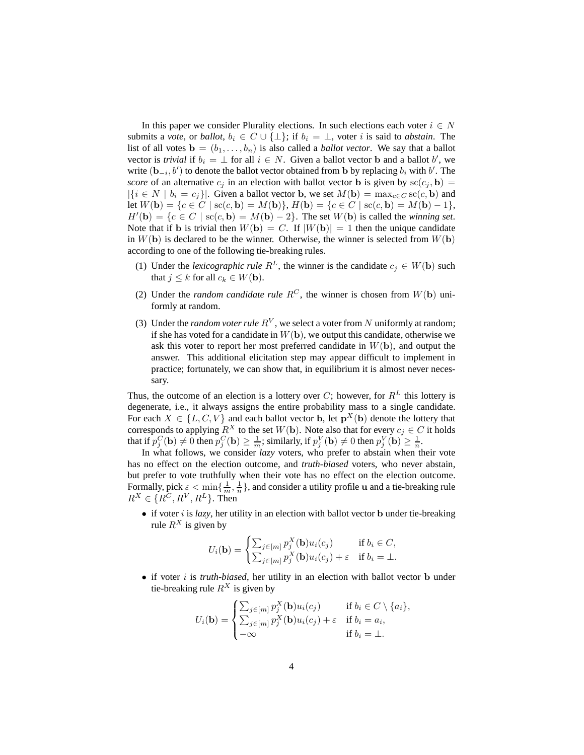In this paper we consider Plurality elections. In such elections each voter  $i \in N$ submits a *vote*, or *ballot*,  $b_i \in C \cup \{\perp\}$ ; if  $b_i = \perp$ , voter *i* is said to *abstain*. The list of all votes  $\mathbf{b} = (b_1, \ldots, b_n)$  is also called a *ballot vector*. We say that a ballot vector is *trivial* if  $b_i = \perp$  for all  $i \in N$ . Given a ballot vector **b** and a ballot b', we write  $(\mathbf{b}_{-i}, b')$  to denote the ballot vector obtained from b by replacing  $b_i$  with  $b'$ . The *score* of an alternative  $c_j$  in an election with ballot vector **b** is given by  $\text{sc}(c_j, \mathbf{b}) =$  $|\{i \in N \mid b_i = c_j\}|$ . Given a ballot vector **b**, we set  $M(\mathbf{b}) = \max_{c \in C} \text{sc}(c, \mathbf{b})$  and let  $W(\mathbf{b}) = \{c \in C \mid \mathrm{sc}(c, \mathbf{b}) = M(\mathbf{b})\},$   $H(\mathbf{b}) = \{c \in C \mid \mathrm{sc}(c, \mathbf{b}) = M(\mathbf{b}) - 1\},$  $H'(\mathbf{b}) = \{c \in C \mid \mathrm{sc}(c, \mathbf{b}) = M(\mathbf{b}) - 2\}.$  The set  $W(\mathbf{b})$  is called the *winning set*. Note that if b is trivial then  $W(\mathbf{b}) = C$ . If  $|W(\mathbf{b})| = 1$  then the unique candidate in  $W(\mathbf{b})$  is declared to be the winner. Otherwise, the winner is selected from  $W(\mathbf{b})$ according to one of the following tie-breaking rules.

- (1) Under the *lexicographic rule*  $R^L$ , the winner is the candidate  $c_i \in W(\mathbf{b})$  such that  $j \leq k$  for all  $c_k \in W(\mathbf{b})$ .
- (2) Under the *random candidate rule*  $R^C$ , the winner is chosen from  $W(\mathbf{b})$  uniformly at random.
- (3) Under the *random voter rule*  $R<sup>V</sup>$ , we select a voter from N uniformly at random; if she has voted for a candidate in  $W(\mathbf{b})$ , we output this candidate, otherwise we ask this voter to report her most preferred candidate in  $W(\mathbf{b})$ , and output the answer. This additional elicitation step may appear difficult to implement in practice; fortunately, we can show that, in equilibrium it is almost never necessary.

Thus, the outcome of an election is a lottery over C; however, for  $R^L$  this lottery is degenerate, i.e., it always assigns the entire probability mass to a single candidate. For each  $X \in \{L, C, V\}$  and each ballot vector b, let  $\mathbf{p}^X(\mathbf{b})$  denote the lottery that corresponds to applying  $R^X$  to the set  $W(\mathbf{b})$ . Note also that for every  $c_j \in C$  it holds that if  $p_j^C(\mathbf{b}) \neq 0$  then  $p_j^C(\mathbf{b}) \geq \frac{1}{m}$ ; similarly, if  $p_j^V(\mathbf{b}) \neq 0$  then  $p_j^V(\mathbf{b}) \geq \frac{1}{n}$ .

In what follows, we consider *lazy* voters, who prefer to abstain when their vote has no effect on the election outcome, and *truth-biased* voters, who never abstain, but prefer to vote truthfully when their vote has no effect on the election outcome. Formally, pick  $\epsilon < \min\{\frac{1}{m},\frac{1}{n}\}\$ , and consider a utility profile u and a tie-breaking rule  $R^X \in \{R^C, R^V, R^L\}$ . Then

 $\bullet$  if voter *i* is *lazy*, her utility in an election with ballot vector **b** under tie-breaking rule  $R^X$  is given by

$$
U_i(\mathbf{b}) = \begin{cases} \sum_{j \in [m]} p_j^X(\mathbf{b}) u_i(c_j) & \text{if } b_i \in C, \\ \sum_{j \in [m]} p_j^X(\mathbf{b}) u_i(c_j) + \varepsilon & \text{if } b_i = \bot. \end{cases}
$$

• if voter *i* is *truth-biased*, her utility in an election with ballot vector **b** under tie-breaking rule  $R^X$  is given by

$$
U_i(\mathbf{b}) = \begin{cases} \sum_{j \in [m]} p_j^X(\mathbf{b}) u_i(c_j) & \text{if } b_i \in C \setminus \{a_i\}, \\ \sum_{j \in [m]} p_j^X(\mathbf{b}) u_i(c_j) + \varepsilon & \text{if } b_i = a_i, \\ -\infty & \text{if } b_i = \bot. \end{cases}
$$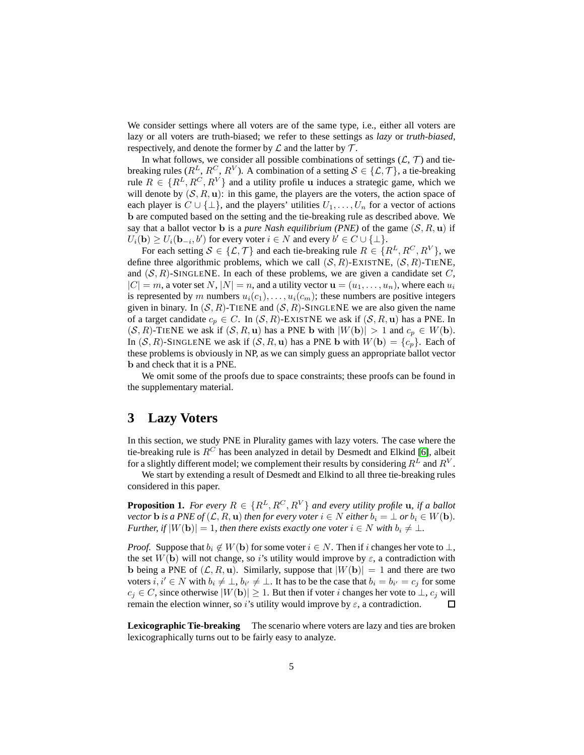We consider settings where all voters are of the same type, i.e., either all voters are lazy or all voters are truth-biased; we refer to these settings as *lazy* or *truth-biased*, respectively, and denote the former by  $\mathcal L$  and the latter by  $\mathcal T$ .

In what follows, we consider all possible combinations of settings  $(L, \mathcal{T})$  and tiebreaking rules ( $R^L, R^C, R^V$ ). A combination of a setting  $\mathcal{S} \in \{\mathcal{L}, \mathcal{T}\},$  a tie-breaking rule  $R \in \{R^L, R^C, R^V\}$  and a utility profile u induces a strategic game, which we will denote by  $(S, R, u)$ : in this game, the players are the voters, the action space of each player is  $C \cup \{\perp\}$ , and the players' utilities  $U_1, \ldots, U_n$  for a vector of actions b are computed based on the setting and the tie-breaking rule as described above. We say that a ballot vector **b** is a *pure Nash equilibrium (PNE)* of the game  $(S, R, u)$  if  $U_i(\mathbf{b}) \ge U_i(\mathbf{b}_{-i},b')$  for every voter  $i \in N$  and every  $b' \in C \cup \{\perp\}.$ 

For each setting  $S \in \{\mathcal{L}, \mathcal{T}\}\$  and each tie-breaking rule  $R \in \{R^L, R^C, R^V\}\$ , we define three algorithmic problems, which we call  $(S, R)$ -EXISTNE,  $(S, R)$ -TIENE, and  $(S, R)$ -SINGLENE. In each of these problems, we are given a candidate set C,  $|C| = m$ , a voter set N,  $|N| = n$ , and a utility vector  $\mathbf{u} = (u_1, \dots, u_n)$ , where each  $u_i$ is represented by m numbers  $u_i(c_1), \ldots, u_i(c_m)$ ; these numbers are positive integers given in binary. In  $(S, R)$ -TIENE and  $(S, R)$ -SINGLENE we are also given the name of a target candidate  $c_p \in C$ . In  $(S, R)$ -EXISTNE we ask if  $(S, R, u)$  has a PNE. In  $(S, R)$ -TIENE we ask if  $(S, R, u)$  has a PNE b with  $|W(b)| > 1$  and  $c_p \in W(b)$ . In  $(S, R)$ -SINGLENE we ask if  $(S, R, u)$  has a PNE b with  $W(b) = \{c_p\}$ . Each of these problems is obviously in NP, as we can simply guess an appropriate ballot vector b and check that it is a PNE.

We omit some of the proofs due to space constraints; these proofs can be found in the supplementary material.

### <span id="page-4-1"></span>**3 Lazy Voters**

In this section, we study PNE in Plurality games with lazy voters. The case where the tie-breaking rule is  $R^C$  has been analyzed in detail by Desmedt and Elkind [\[6\]](#page-12-0), albeit for a slightly different model; we complement their results by considering  $R^L$  and  $R^V$ .

We start by extending a result of Desmedt and Elkind to all three tie-breaking rules considered in this paper.

<span id="page-4-0"></span>**Proposition 1.** *For every*  $R \in \{R^L, R^C, R^V\}$  *and every utility profile* **u**, *if a ballot vector* **b** *is a PNE of*  $(L, R, u)$  *then for every voter*  $i \in N$  *either*  $b_i = \bot$  *or*  $b_i \in W$  **(b)**. *Further, if*  $|W(\mathbf{b})| = 1$ *, then there exists exactly one voter*  $i \in N$  *with*  $b_i \neq \bot$ *.* 

*Proof.* Suppose that  $b_i \notin W(\mathbf{b})$  for some voter  $i \in N$ . Then if i changes her vote to  $\perp$ , the set  $W(\mathbf{b})$  will not change, so i's utility would improve by  $\varepsilon$ , a contradiction with b being a PNE of  $(\mathcal{L}, R, u)$ . Similarly, suppose that  $|W(b)| = 1$  and there are two voters  $i, i' \in N$  with  $b_i \neq \bot, b_{i'} \neq \bot$ . It has to be the case that  $b_i = b_{i'} = c_j$  for some  $c_j \in C$ , since otherwise  $|W(\mathbf{b})| \geq 1$ . But then if voter i changes her vote to  $\perp$ ,  $c_j$  will remain the election winner, so i's utility would improve by  $\varepsilon$ , a contradiction. 口

**Lexicographic Tie-breaking** The scenario where voters are lazy and ties are broken lexicographically turns out to be fairly easy to analyze.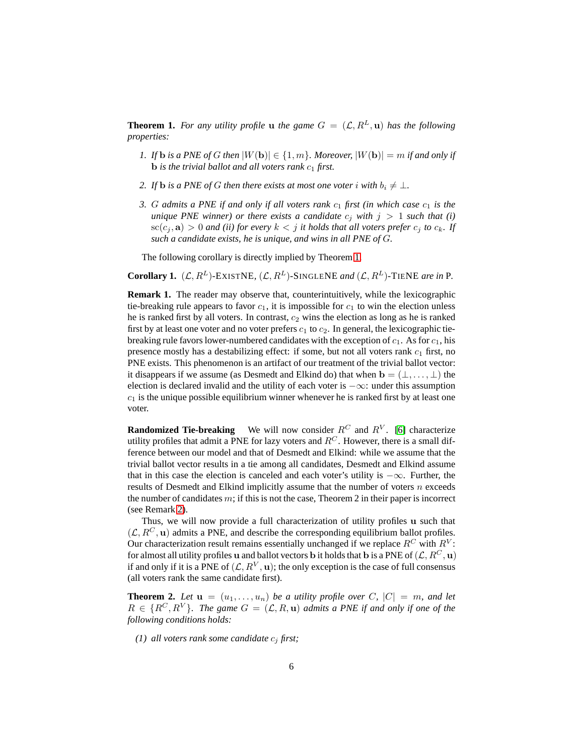<span id="page-5-0"></span>**Theorem 1.** For any utility profile **u** the game  $G = (\mathcal{L}, R^L, \mathbf{u})$  has the following *properties:*

- *1. If* **b** *is a PNE of G then*  $|W(\mathbf{b})| \in \{1, m\}$ *. Moreover,*  $|W(\mathbf{b})| = m$  *if and only if*  $\bf{b}$  *is the trivial ballot and all voters rank*  $c_1$  *first.*
- *2. If* **b** *is a PNE of G then there exists at most one voter i with*  $b_i \neq \bot$ *.*
- *3. G admits a PNE if and only if all voters rank*  $c_1$  *first (in which case*  $c_1$  *is the unique PNE winner) or there exists a candidate*  $c_i$  *with*  $j > 1$  *such that* (*i*)  $\operatorname{sc}(c_i, \mathbf{a}) > 0$  *and (ii) for every*  $k < j$  *it holds that all voters prefer*  $c_i$  *to*  $c_k$ *. If such a candidate exists, he is unique, and wins in all PNE of* G*.*

The following corollary is directly implied by Theorem [1.](#page-5-0)

<span id="page-5-2"></span>**Corollary 1.**  $(L, R^L)$ -EXISTNE,  $(L, R^L)$ -SINGLENE *and*  $(L, R^L)$ -TIENE *are in* P.

**Remark 1.** The reader may observe that, counterintuitively, while the lexicographic tie-breaking rule appears to favor  $c_1$ , it is impossible for  $c_1$  to win the election unless he is ranked first by all voters. In contrast,  $c_2$  wins the election as long as he is ranked first by at least one voter and no voter prefers  $c_1$  to  $c_2$ . In general, the lexicographic tiebreaking rule favors lower-numbered candidates with the exception of  $c_1$ . As for  $c_1$ , his presence mostly has a destabilizing effect: if some, but not all voters rank  $c_1$  first, no PNE exists. This phenomenon is an artifact of our treatment of the trivial ballot vector: it disappears if we assume (as Desmedt and Elkind do) that when  $\mathbf{b} = (\perp, \ldots, \perp)$  the election is declared invalid and the utility of each voter is  $-\infty$ : under this assumption  $c_1$  is the unique possible equilibrium winner whenever he is ranked first by at least one voter.

**Randomized Tie-breaking** We will now consider  $R^C$  and  $R^V$ . [\[6\]](#page-12-0) characterize utility profiles that admit a PNE for lazy voters and  $R<sup>C</sup>$ . However, there is a small difference between our model and that of Desmedt and Elkind: while we assume that the trivial ballot vector results in a tie among all candidates, Desmedt and Elkind assume that in this case the election is canceled and each voter's utility is  $-\infty$ . Further, the results of Desmedt and Elkind implicitly assume that the number of voters  $n$  exceeds the number of candidates  $m$ ; if this is not the case, Theorem 2 in their paper is incorrect (see Remark [2\)](#page-6-0).

Thus, we will now provide a full characterization of utility profiles u such that  $(\mathcal{L}, R^C, \mathbf{u})$  admits a PNE, and describe the corresponding equilibrium ballot profiles. Our characterization result remains essentially unchanged if we replace  $R^C$  with  $R^V$ : for almost all utility profiles u and ballot vectors b it holds that b is a PNE of  $(\mathcal{L}, R^C, \mathbf{u})$ if and only if it is a PNE of  $(\mathcal{L}, R^V, \mathbf{u})$ ; the only exception is the case of full consensus (all voters rank the same candidate first).

<span id="page-5-1"></span>**Theorem 2.** Let  $\mathbf{u} = (u_1, \ldots, u_n)$  be a utility profile over C,  $|C| = m$ , and let  $R \in \{R^C, R^V\}$ *. The game*  $G = (\mathcal{L}, R, \mathbf{u})$  *admits a PNE if and only if one of the following conditions holds:*

*(1) all voters rank some candidate*  $c_i$  *first;*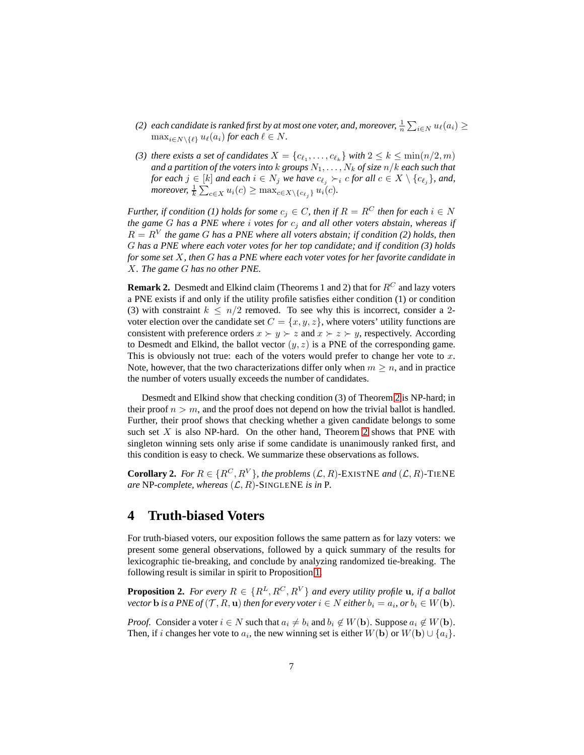- (2) each candidate is ranked first by at most one voter, and, moreover,  $\frac{1}{n} \sum_{i \in N} u_\ell(a_i) \geq$  $\max_{i \in N \setminus \{\ell\}} u_{\ell}(a_i)$  *for each*  $\ell \in N$ *.*
- *(3) there exists a set of candidates*  $X = \{c_{\ell_1}, \ldots, c_{\ell_k}\}$  *with*  $2 \leq k \leq \min(n/2, m)$ *and a partition of the voters into* k *groups* N1, . . . , N<sup>k</sup> *of size* n/k *each such that for each*  $j \in [k]$  *and each*  $i \in N_j$  *we have*  $c_{\ell_j} \succ_i c$  *for all*  $c \in X \setminus \{c_{\ell_j}\}$ *, and, moreover,*  $\frac{1}{k} \sum_{c \in X} u_i(c) \ge \max_{c \in X \setminus \{c_{\ell_j}\}} u_i(c)$ .

*Further, if condition (1) holds for some*  $c_j \in C$ *, then if*  $R = R^C$  *then for each*  $i \in N$ *the game* G *has a PNE where* i *votes for* c<sup>j</sup> *and all other voters abstain, whereas if*  $R = R<sup>V</sup>$  the game G has a PNE where all voters abstain; if condition (2) holds, then G *has a PNE where each voter votes for her top candidate; and if condition (3) holds for some set* X*, then* G *has a PNE where each voter votes for her favorite candidate in* X*. The game* G *has no other PNE.*

<span id="page-6-0"></span>**Remark 2.** Desmedt and Elkind claim (Theorems 1 and 2) that for  $R^C$  and lazy voters a PNE exists if and only if the utility profile satisfies either condition (1) or condition (3) with constraint  $k \leq n/2$  removed. To see why this is incorrect, consider a 2voter election over the candidate set  $C = \{x, y, z\}$ , where voters' utility functions are consistent with preference orders  $x \succ y \succ z$  and  $x \succ z \succ y$ , respectively. According to Desmedt and Elkind, the ballot vector  $(y, z)$  is a PNE of the corresponding game. This is obviously not true: each of the voters would prefer to change her vote to  $x$ . Note, however, that the two characterizations differ only when  $m \geq n$ , and in practice the number of voters usually exceeds the number of candidates.

Desmedt and Elkind show that checking condition (3) of Theorem [2](#page-5-1) is NP-hard; in their proof  $n > m$ , and the proof does not depend on how the trivial ballot is handled. Further, their proof shows that checking whether a given candidate belongs to some such set  $X$  is also NP-hard. On the other hand, Theorem [2](#page-5-1) shows that PNE with singleton winning sets only arise if some candidate is unanimously ranked first, and this condition is easy to check. We summarize these observations as follows.

<span id="page-6-1"></span>**Corollary 2.** *For*  $R \in \{R^C, R^V\}$ *, the problems*  $(L, R)$ *-EXISTNE and*  $(L, R)$ *-TIENE are* NP-complete, whereas  $(L, R)$ -SINGLENE *is in* P.

### <span id="page-6-3"></span>**4 Truth-biased Voters**

For truth-biased voters, our exposition follows the same pattern as for lazy voters: we present some general observations, followed by a quick summary of the results for lexicographic tie-breaking, and conclude by analyzing randomized tie-breaking. The following result is similar in spirit to Proposition [1.](#page-4-0)

<span id="page-6-2"></span>**Proposition 2.** *For every*  $R \in \{R^L, R^C, R^V\}$  *and every utility profile* **u**, *if a ballot vector* **b** is a PNE of  $(\mathcal{T}, R, \mathbf{u})$  then for every voter  $i \in N$  either  $b_i = a_i$ , or  $b_i \in W(\mathbf{b})$ .

*Proof.* Consider a voter  $i \in N$  such that  $a_i \neq b_i$  and  $b_i \notin W(\mathbf{b})$ . Suppose  $a_i \notin W(\mathbf{b})$ . Then, if i changes her vote to  $a_i$ , the new winning set is either  $W(\textbf{b})$  or  $W(\textbf{b}) \cup \{a_i\}$ .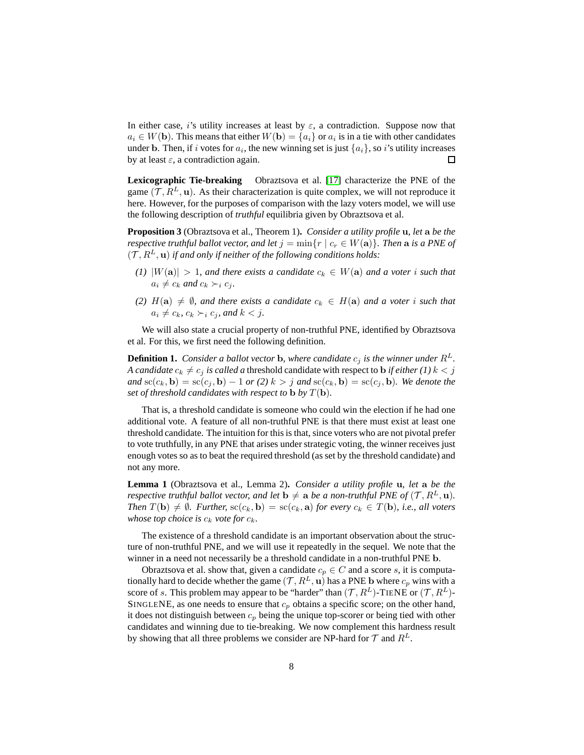In either case, i's utility increases at least by  $\varepsilon$ , a contradiction. Suppose now that  $a_i \in W(\mathbf{b})$ . This means that either  $W(\mathbf{b}) = \{a_i\}$  or  $a_i$  is in a tie with other candidates under b. Then, if i votes for  $a_i$ , the new winning set is just  $\{a_i\}$ , so i's utility increases by at least  $\varepsilon$ , a contradiction again.  $\Box$ 

**Lexicographic Tie-breaking** Obraztsova et al. [\[17\]](#page-12-1) characterize the PNE of the game  $(\mathcal{T}, R^L, \mathbf{u})$ . As their characterization is quite complex, we will not reproduce it here. However, for the purposes of comparison with the lazy voters model, we will use the following description of *truthful* equilibria given by Obraztsova et al.

<span id="page-7-0"></span>**Proposition 3** (Obraztsova et al., Theorem 1)**.** *Consider a utility profile* u*, let* a *be the respective truthful ballot vector, and let*  $j = \min\{r \mid c_r \in W(\mathbf{a})\}$ *. Then* a *is a PNE of*  $(T, R^L, \mathbf{u})$  *if and only if neither of the following conditions holds:* 

- *(1)*  $|W(\mathbf{a})| > 1$ , and there exists a candidate  $c_k \in W(\mathbf{a})$  and a voter i such that  $a_i \neq c_k$  and  $c_k \succ_i c_j$ .
- *(2)*  $H(a) \neq \emptyset$ , and there exists a candidate  $c_k \in H(a)$  and a voter i such that  $a_i \neq c_k$ *,*  $c_k \succ_i c_j$ *, and*  $k < j$ *.*

We will also state a crucial property of non-truthful PNE, identified by Obraztsova et al. For this, we first need the following definition.

**Definition 1.** *Consider a ballot vector* **b***, where candidate*  $c_i$  *is the winner under*  $R^L$ *. A candidate*  $c_k \neq c_j$  *is called a* threshold candidate with respect to **b** *if either (1)*  $k < j$  $and$  sc( $c_k$ , **b**) = sc( $c_j$ , **b**) - 1 *or* (2)  $k > j$  *and* sc( $c_k$ , **b**) = sc( $c_j$ , **b**)*. We denote the set of threshold candidates with respect to* **b** *by*  $T(\mathbf{b})$ *.* 

That is, a threshold candidate is someone who could win the election if he had one additional vote. A feature of all non-truthful PNE is that there must exist at least one threshold candidate. The intuition for this is that, since voters who are not pivotal prefer to vote truthfully, in any PNE that arises under strategic voting, the winner receives just enough votes so as to beat the required threshold (as set by the threshold candidate) and not any more.

<span id="page-7-1"></span>**Lemma 1** (Obraztsova et al., Lemma 2)**.** *Consider a utility profile* u*, let* a *be the respective truthful ballot vector, and let*  $\mathbf{b} \neq \mathbf{a}$  *be a non-truthful PNE of*  $(\mathcal{T}, R^L, \mathbf{u})$ *. Then*  $T(\mathbf{b}) \neq \emptyset$ *. Further,*  $\operatorname{sc}(c_k, \mathbf{b}) = \operatorname{sc}(c_k, \mathbf{a})$  *for every*  $c_k \in T(\mathbf{b})$ *, i.e., all voters whose top choice is*  $c_k$  *vote for*  $c_k$ *.* 

The existence of a threshold candidate is an important observation about the structure of non-truthful PNE, and we will use it repeatedly in the sequel. We note that the winner in a need not necessarily be a threshold candidate in a non-truthful PNE b.

Obraztsova et al. show that, given a candidate  $c_p \in C$  and a score s, it is computationally hard to decide whether the game  $(\mathcal{T}, R^L, \mathbf{u})$  has a PNE b where  $c_p$  wins with a score of s. This problem may appear to be "harder" than  $(\mathcal{T}, R^L)$ -TIENE or  $(\mathcal{T}, R^L)$ -SINGLENE, as one needs to ensure that  $c_p$  obtains a specific score; on the other hand, it does not distinguish between  $c_p$  being the unique top-scorer or being tied with other candidates and winning due to tie-breaking. We now complement this hardness result by showing that all three problems we consider are NP-hard for  $\mathcal T$  and  $R^L$ .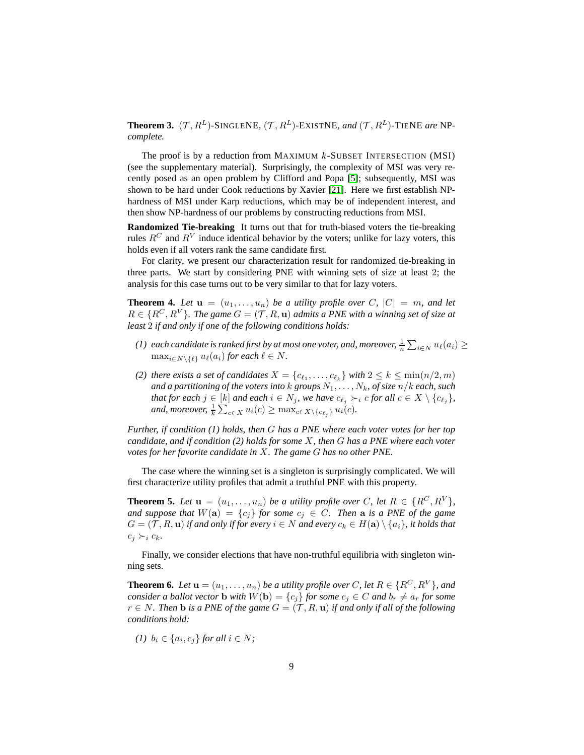<span id="page-8-1"></span>**Theorem 3.**  $(\mathcal{T}, R^L)$ -SINGLENE,  $(\mathcal{T}, R^L)$ -EXISTNE, and  $(\mathcal{T}, R^L)$ -TIENE are NP*complete.*

The proof is by a reduction from MAXIMUM  $k$ -SUBSET INTERSECTION (MSI) (see the supplementary material). Surprisingly, the complexity of MSI was very recently posed as an open problem by Clifford and Popa [\[5\]](#page-12-14); subsequently, MSI was shown to be hard under Cook reductions by Xavier [\[21\]](#page-13-3). Here we first establish NPhardness of MSI under Karp reductions, which may be of independent interest, and then show NP-hardness of our problems by constructing reductions from MSI.

**Randomized Tie-breaking** It turns out that for truth-biased voters the tie-breaking rules  $R^C$  and  $R^V$  induce identical behavior by the voters; unlike for lazy voters, this holds even if all voters rank the same candidate first.

For clarity, we present our characterization result for randomized tie-breaking in three parts. We start by considering PNE with winning sets of size at least 2; the analysis for this case turns out to be very similar to that for lazy voters.

<span id="page-8-2"></span>**Theorem 4.** Let  $\mathbf{u} = (u_1, \ldots, u_n)$  be a utility profile over C,  $|C| = m$ , and let  $R \in \{R^C, R^V\}$ *. The game*  $G = (\mathcal{T}, R, \mathbf{u})$  *admits a PNE with a winning set of size at least* 2 *if and only if one of the following conditions holds:*

- (1) each candidate is ranked first by at most one voter, and, moreover,  $\frac{1}{n} \sum_{i \in N} u_\ell(a_i) \geq$  $\max_{i \in N \setminus \{\ell\}} u_{\ell}(a_i)$  *for each*  $\ell \in N$ *.*
- *(2) there exists a set of candidates*  $X = \{c_{\ell_1}, \ldots, c_{\ell_k}\}$  *with*  $2 \leq k \leq \min(n/2, m)$ *and a partitioning of the voters into* k *groups* N1, . . . , Nk*, of size* n/k *each, such that for each*  $j \in [k]$  *and each*  $i \in N_j$ *, we have*  $c_{\ell_j} \succ_i c$  *for all*  $c \in X \setminus \{c_{\ell_j}\}$ *,* and, moreover,  $\frac{1}{k} \sum_{c \in X} u_i(c) \geq \max_{c \in X \setminus \{c_{\ell_j}\}} u_i(c)$ .

*Further, if condition (1) holds, then* G *has a PNE where each voter votes for her top candidate, and if condition (2) holds for some* X*, then* G *has a PNE where each voter votes for her favorite candidate in* X*. The game* G *has no other PNE.*

The case where the winning set is a singleton is surprisingly complicated. We will first characterize utility profiles that admit a truthful PNE with this property.

<span id="page-8-3"></span>**Theorem 5.** Let  $\mathbf{u} = (u_1, \ldots, u_n)$  be a utility profile over C, let  $R \in \{R^C, R^V\}$ , *and suppose that*  $W(a) = \{c_j\}$  *for some*  $c_j \in C$ *. Then* a *is a PNE of the game*  $G = (\mathcal{T}, R, \mathbf{u})$  *if and only if for every*  $i \in N$  *and every*  $c_k \in H(\mathbf{a}) \setminus \{a_i\}$ , *it holds that*  $c_i \succ_i c_k$ .

Finally, we consider elections that have non-truthful equilibria with singleton winning sets.

<span id="page-8-0"></span>**Theorem 6.** *Let*  $\mathbf{u} = (u_1, \ldots, u_n)$  *be a utility profile over* C, let  $R \in \{R^C, R^V\}$ *, and consider a ballot vector* **b** *with*  $W(\mathbf{b}) = \{c_i\}$  *for some*  $c_i \in C$  *and*  $b_r \neq a_r$  *for some*  $r ∈ N$ *. Then* **b** *is a PNE of the game*  $G = (T, R, u)$  *if and only if all of the following conditions hold:*

$$
(1) \ \ b_i \in \{a_i, c_j\} \ \text{for all} \ i \in N;
$$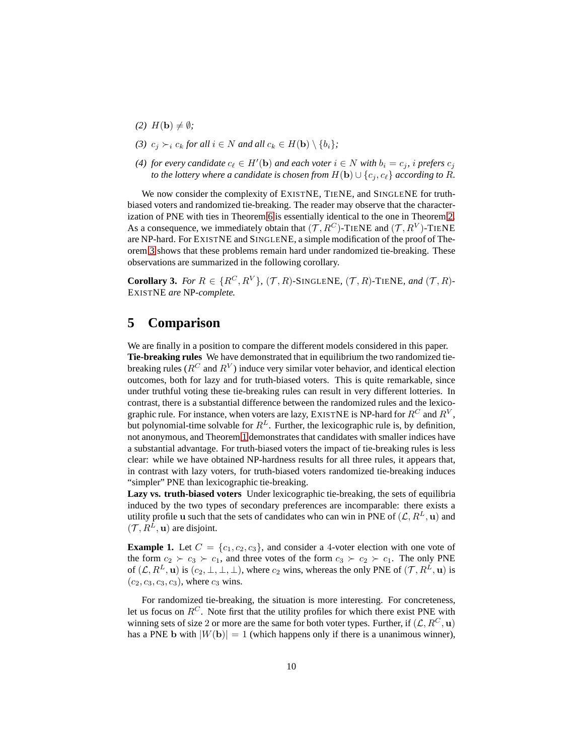- $(2)$   $H(\mathbf{b}) \neq \emptyset$ *;*
- *(3)*  $c_i \succ_i c_k$  *for all*  $i \in N$  *and all*  $c_k \in H(\mathbf{b}) \setminus \{b_i\}$ ;
- *(4) for every candidate*  $c_{\ell} \in H'(\mathbf{b})$  *and each voter*  $i \in N$  *with*  $b_i = c_j$ *, i prefers*  $c_j$ *to the lottery where a candidate is chosen from*  $H(\mathbf{b}) \cup \{c_j, c_\ell\}$  *according to* R.

We now consider the complexity of EXISTNE, TIENE, and SINGLENE for truthbiased voters and randomized tie-breaking. The reader may observe that the characterization of PNE with ties in Theorem [6](#page-8-0) is essentially identical to the one in Theorem [2.](#page-5-1) As a consequence, we immediately obtain that  $(\mathcal{T}, R^C)$ -TIENE and  $(\mathcal{T}, R^V)$ -TIENE are NP-hard. For EXISTNE and SINGLENE, a simple modification of the proof of Theorem [3](#page-8-1) shows that these problems remain hard under randomized tie-breaking. These observations are summarized in the following corollary.

<span id="page-9-0"></span>**Corollary 3.** For  $R \in \{R^C, R^V\}$ ,  $(\mathcal{T}, R)$ -SINGLENE,  $(\mathcal{T}, R)$ -TIENE, and  $(\mathcal{T}, R)$ -EXISTNE *are* NP*-complete.*

### **5 Comparison**

We are finally in a position to compare the different models considered in this paper. **Tie-breaking rules** We have demonstrated that in equilibrium the two randomized tiebreaking rules ( $R^C$  and  $R^V$ ) induce very similar voter behavior, and identical election outcomes, both for lazy and for truth-biased voters. This is quite remarkable, since under truthful voting these tie-breaking rules can result in very different lotteries. In contrast, there is a substantial difference between the randomized rules and the lexicographic rule. For instance, when voters are lazy, EXISTNE is NP-hard for  $R^C$  and  $R^V$ , but polynomial-time solvable for  $R^L$ . Further, the lexicographic rule is, by definition, not anonymous, and Theorem [1](#page-5-0) demonstrates that candidates with smaller indices have a substantial advantage. For truth-biased voters the impact of tie-breaking rules is less clear: while we have obtained NP-hardness results for all three rules, it appears that, in contrast with lazy voters, for truth-biased voters randomized tie-breaking induces "simpler" PNE than lexicographic tie-breaking.

**Lazy vs. truth-biased voters** Under lexicographic tie-breaking, the sets of equilibria induced by the two types of secondary preferences are incomparable: there exists a utility profile u such that the sets of candidates who can win in PNE of  $(\mathcal{L}, R^L, \mathbf{u})$  and  $(\mathcal{T}, R^{\bar{L}}, \mathbf{u})$  are disjoint.

**Example 1.** Let  $C = \{c_1, c_2, c_3\}$ , and consider a 4-voter election with one vote of the form  $c_2 \succ c_3 \succ c_1$ , and three votes of the form  $c_3 \succ c_2 \succ c_1$ . The only PNE of  $(L, R^L, \mathbf{u})$  is  $(c_2, \perp, \perp, \perp)$ , where  $c_2$  wins, whereas the only PNE of  $(\mathcal{T}, R^L, \mathbf{u})$  is  $(c_2, c_3, c_3, c_3)$ , where  $c_3$  wins.

For randomized tie-breaking, the situation is more interesting. For concreteness, let us focus on  $R^C$ . Note first that the utility profiles for which there exist PNE with winning sets of size 2 or more are the same for both voter types. Further, if  $(L, R^C, u)$ has a PNE b with  $|W(\mathbf{b})| = 1$  (which happens only if there is a unanimous winner),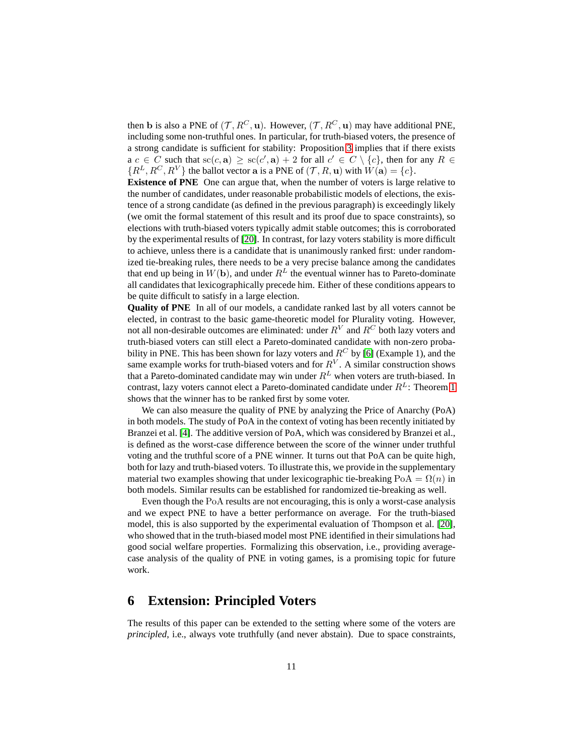then b is also a PNE of  $(\mathcal{T}, R^C, \mathbf{u})$ . However,  $(\mathcal{T}, R^C, \mathbf{u})$  may have additional PNE, including some non-truthful ones. In particular, for truth-biased voters, the presence of a strong candidate is sufficient for stability: Proposition [3](#page-7-0) implies that if there exists  $a \ c \in C$  such that  $\operatorname{sc}(c, \mathbf{a}) \geq \operatorname{sc}(c', \mathbf{a}) + 2$  for all  $c' \in C \setminus \{c\}$ , then for any  $R \in C$  ${R^L, R^C, R^V}$  the ballot vector a is a PNE of  $(\mathcal{T}, R, \mathbf{u})$  with  $W(\mathbf{a}) = \{c\}.$ 

**Existence of PNE** One can argue that, when the number of voters is large relative to the number of candidates, under reasonable probabilistic models of elections, the existence of a strong candidate (as defined in the previous paragraph) is exceedingly likely (we omit the formal statement of this result and its proof due to space constraints), so elections with truth-biased voters typically admit stable outcomes; this is corroborated by the experimental results of [\[20\]](#page-13-1). In contrast, for lazy voters stability is more difficult to achieve, unless there is a candidate that is unanimously ranked first: under randomized tie-breaking rules, there needs to be a very precise balance among the candidates that end up being in  $W(\mathbf{b})$ , and under  $R^L$  the eventual winner has to Pareto-dominate all candidates that lexicographically precede him. Either of these conditions appears to be quite difficult to satisfy in a large election.

**Quality of PNE** In all of our models, a candidate ranked last by all voters cannot be elected, in contrast to the basic game-theoretic model for Plurality voting. However, not all non-desirable outcomes are eliminated: under  $R^V$  and  $R^C$  both lazy voters and truth-biased voters can still elect a Pareto-dominated candidate with non-zero probability in PNE. This has been shown for lazy voters and  $R^C$  by [\[6\]](#page-12-0) (Example 1), and the same example works for truth-biased voters and for  $R^V$ . A similar construction shows that a Pareto-dominated candidate may win under  $R^L$  when voters are truth-biased. In contrast, lazy voters cannot elect a Pareto-dominated candidate under  $R<sup>L</sup>$ : Theorem [1](#page-5-0) shows that the winner has to be ranked first by some voter.

We can also measure the quality of PNE by analyzing the Price of Anarchy (PoA) in both models. The study of PoA in the context of voting has been recently initiated by Branzei et al. [\[4\]](#page-12-15). The additive version of PoA, which was considered by Branzei et al., is defined as the worst-case difference between the score of the winner under truthful voting and the truthful score of a PNE winner. It turns out that PoA can be quite high, both for lazy and truth-biased voters. To illustrate this, we provide in the supplementary material two examples showing that under lexicographic tie-breaking  $PoA = \Omega(n)$  in both models. Similar results can be established for randomized tie-breaking as well.

Even though the PoA results are not encouraging, this is only a worst-case analysis and we expect PNE to have a better performance on average. For the truth-biased model, this is also supported by the experimental evaluation of Thompson et al. [\[20\]](#page-13-1), who showed that in the truth-biased model most PNE identified in their simulations had good social welfare properties. Formalizing this observation, i.e., providing averagecase analysis of the quality of PNE in voting games, is a promising topic for future work.

#### **6 Extension: Principled Voters**

The results of this paper can be extended to the setting where some of the voters are *principled*, i.e., always vote truthfully (and never abstain). Due to space constraints,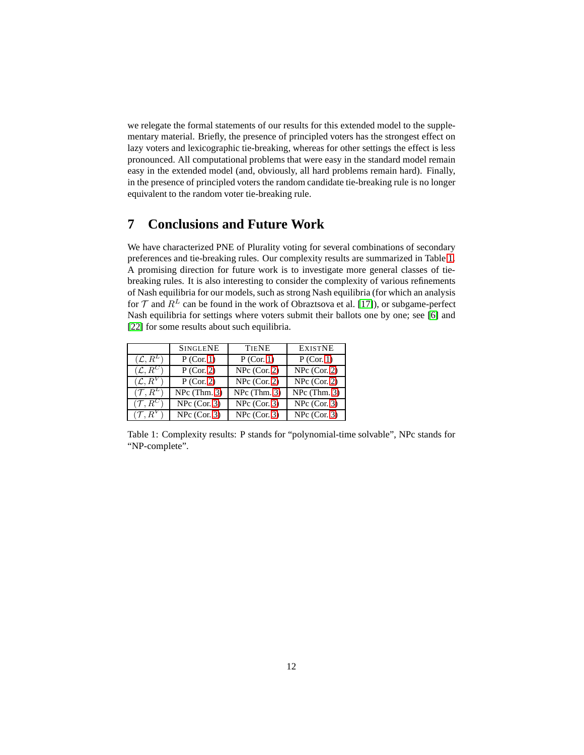we relegate the formal statements of our results for this extended model to the supplementary material. Briefly, the presence of principled voters has the strongest effect on lazy voters and lexicographic tie-breaking, whereas for other settings the effect is less pronounced. All computational problems that were easy in the standard model remain easy in the extended model (and, obviously, all hard problems remain hard). Finally, in the presence of principled voters the random candidate tie-breaking rule is no longer equivalent to the random voter tie-breaking rule.

# **7 Conclusions and Future Work**

We have characterized PNE of Plurality voting for several combinations of secondary preferences and tie-breaking rules. Our complexity results are summarized in Table [1.](#page-11-0) A promising direction for future work is to investigate more general classes of tiebreaking rules. It is also interesting to consider the complexity of various refinements of Nash equilibria for our models, such as strong Nash equilibria (for which an analysis for  $T$  and  $R^L$  can be found in the work of Obraztsova et al. [\[17\]](#page-12-1)), or subgame-perfect Nash equilibria for settings where voters submit their ballots one by one; see [\[6\]](#page-12-0) and [\[22\]](#page-13-4) for some results about such equilibria.

|                       | <b>SINGLENE</b> | <b>TIENE</b>   | <b>EXISTNE</b> |
|-----------------------|-----------------|----------------|----------------|
| $(\mathcal{L},R^L)$   | $P$ (Cor. 1)    | $P$ (Cor. 1)   | P (Cor. 1)     |
| $(\mathcal{L},R^{C})$ | $P$ (Cor. 2)    | $NPc$ (Cor. 2) | $NPc$ (Cor. 2) |
| $(\mathcal{L}, R^V)$  | $P$ (Cor. 2)    | $NPc$ (Cor. 2) | $NPc$ (Cor. 2) |
| $(\mathcal{T}, R^L)$  | $NPc$ (Thm. 3)  | $NPc$ (Thm. 3) | $NPc$ (Thm. 3) |
| $(\mathcal{T}, R^C)$  | $NPc$ (Cor. 3)  | $NPc$ (Cor. 3) | $NPc$ (Cor. 3) |
| $({\cal T},R^V)$      | $NPc$ (Cor. 3)  | $NPc$ (Cor. 3) | $NPc$ (Cor. 3) |

<span id="page-11-0"></span>Table 1: Complexity results: P stands for "polynomial-time solvable", NPc stands for "NP-complete".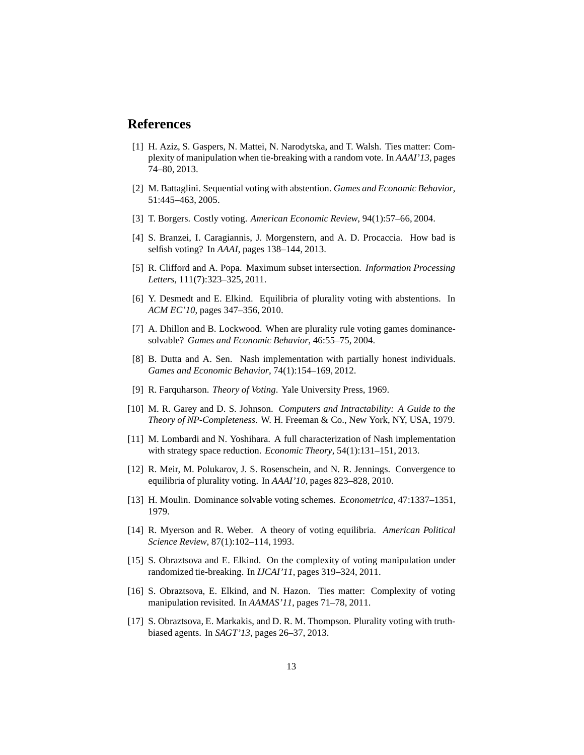### <span id="page-12-13"></span>**References**

- [1] H. Aziz, S. Gaspers, N. Mattei, N. Narodytska, and T. Walsh. Ties matter: Complexity of manipulation when tie-breaking with a random vote. In *AAAI'13*, pages 74–80, 2013.
- <span id="page-12-7"></span><span id="page-12-6"></span>[2] M. Battaglini. Sequential voting with abstention. *Games and Economic Behavior*, 51:445–463, 2005.
- <span id="page-12-15"></span>[3] T. Borgers. Costly voting. *American Economic Review*, 94(1):57–66, 2004.
- <span id="page-12-14"></span>[4] S. Branzei, I. Caragiannis, J. Morgenstern, and A. D. Procaccia. How bad is selfish voting? In *AAAI*, pages 138–144, 2013.
- <span id="page-12-0"></span>[5] R. Clifford and A. Popa. Maximum subset intersection. *Information Processing Letters*, 111(7):323–325, 2011.
- [6] Y. Desmedt and E. Elkind. Equilibria of plurality voting with abstentions. In *ACM EC'10*, pages 347–356, 2010.
- <span id="page-12-8"></span><span id="page-12-4"></span>[7] A. Dhillon and B. Lockwood. When are plurality rule voting games dominancesolvable? *Games and Economic Behavior*, 46:55–75, 2004.
- <span id="page-12-2"></span>[8] B. Dutta and A. Sen. Nash implementation with partially honest individuals. *Games and Economic Behavior*, 74(1):154–169, 2012.
- <span id="page-12-16"></span>[9] R. Farquharson. *Theory of Voting*. Yale University Press, 1969.
- [10] M. R. Garey and D. S. Johnson. *Computers and Intractability: A Guide to the Theory of NP-Completeness*. W. H. Freeman & Co., New York, NY, USA, 1979.
- <span id="page-12-10"></span><span id="page-12-9"></span>[11] M. Lombardi and N. Yoshihara. A full characterization of Nash implementation with strategy space reduction. *Economic Theory*, 54(1):131–151, 2013.
- <span id="page-12-3"></span>[12] R. Meir, M. Polukarov, J. S. Rosenschein, and N. R. Jennings. Convergence to equilibria of plurality voting. In *AAAI'10*, pages 823–828, 2010.
- <span id="page-12-5"></span>[13] H. Moulin. Dominance solvable voting schemes. *Econometrica*, 47:1337–1351, 1979.
- [14] R. Myerson and R. Weber. A theory of voting equilibria. *American Political Science Review*, 87(1):102–114, 1993.
- <span id="page-12-12"></span>[15] S. Obraztsova and E. Elkind. On the complexity of voting manipulation under randomized tie-breaking. In *IJCAI'11*, pages 319–324, 2011.
- <span id="page-12-11"></span>[16] S. Obraztsova, E. Elkind, and N. Hazon. Ties matter: Complexity of voting manipulation revisited. In *AAMAS'11*, pages 71–78, 2011.
- <span id="page-12-1"></span>[17] S. Obraztsova, E. Markakis, and D. R. M. Thompson. Plurality voting with truthbiased agents. In *SAGT'13*, pages 26–37, 2013.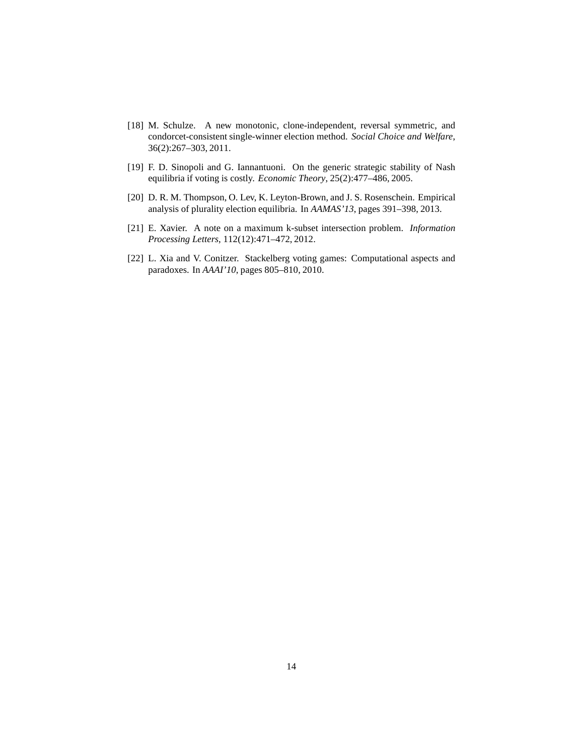- <span id="page-13-2"></span>[18] M. Schulze. A new monotonic, clone-independent, reversal symmetric, and condorcet-consistent single-winner election method. *Social Choice and Welfare*, 36(2):267–303, 2011.
- <span id="page-13-1"></span><span id="page-13-0"></span>[19] F. D. Sinopoli and G. Iannantuoni. On the generic strategic stability of Nash equilibria if voting is costly. *Economic Theory*, 25(2):477–486, 2005.
- <span id="page-13-3"></span>[20] D. R. M. Thompson, O. Lev, K. Leyton-Brown, and J. S. Rosenschein. Empirical analysis of plurality election equilibria. In *AAMAS'13*, pages 391–398, 2013.
- <span id="page-13-4"></span>[21] E. Xavier. A note on a maximum k-subset intersection problem. *Information Processing Letters*, 112(12):471–472, 2012.
- [22] L. Xia and V. Conitzer. Stackelberg voting games: Computational aspects and paradoxes. In *AAAI'10*, pages 805–810, 2010.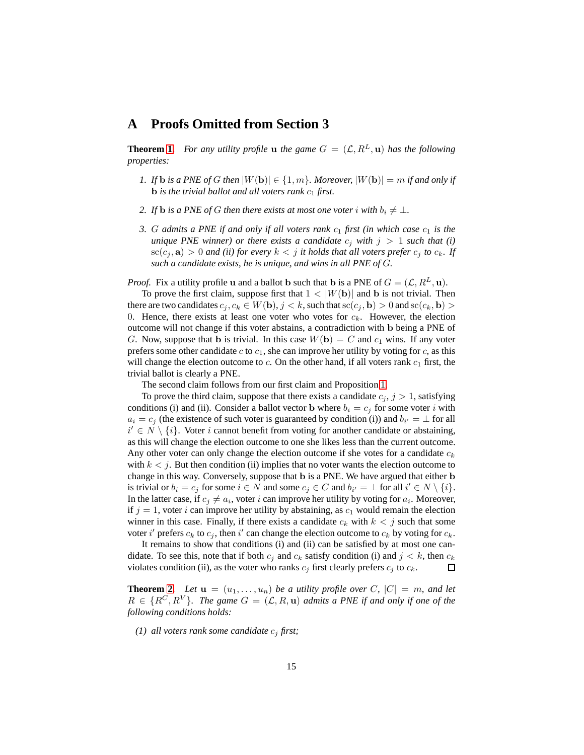#### **A Proofs Omitted from Section 3**

**Theorem [1.](#page-5-0)** *For any utility profile* **u** *the game*  $G = (\mathcal{L}, R^L, \mathbf{u})$  *has the following properties:*

- *1. If* **b** *is a PNE of G then*  $|W(\mathbf{b})| \in \{1, m\}$ *. Moreover,*  $|W(\mathbf{b})| = m$  *if and only if* **b** is the trivial ballot and all voters rank  $c_1$  first.
- *2. If* **b** *is a PNE of G then there exists at most one voter i with*  $b_i \neq \bot$ *.*
- *3. G admits a PNE if and only if all voters rank*  $c_1$  *first (in which case*  $c_1$  *is the unique PNE winner) or there exists a candidate*  $c_i$  *with*  $j > 1$  *such that* (*i*)  $\operatorname{sc}(c_i, \mathbf{a}) > 0$  *and (ii) for every*  $k < j$  *it holds that all voters prefer*  $c_i$  *to*  $c_k$ *. If such a candidate exists, he is unique, and wins in all PNE of* G*.*

*Proof.* Fix a utility profile **u** and a ballot **b** such that **b** is a PNE of  $G = (\mathcal{L}, R^L, \mathbf{u})$ .

To prove the first claim, suppose first that  $1 < |W(\mathbf{b})|$  and b is not trivial. Then there are two candidates  $c_j, c_k \in W(\mathbf{b}), j < k$ , such that  $\operatorname{sc}(c_j, \mathbf{b}) > 0$  and  $\operatorname{sc}(c_k, \mathbf{b}) >$ 0. Hence, there exists at least one voter who votes for  $c_k$ . However, the election outcome will not change if this voter abstains, a contradiction with b being a PNE of G. Now, suppose that b is trivial. In this case  $W(\mathbf{b}) = C$  and  $c_1$  wins. If any voter prefers some other candidate  $c$  to  $c_1$ , she can improve her utility by voting for  $c$ , as this will change the election outcome to  $c$ . On the other hand, if all voters rank  $c_1$  first, the trivial ballot is clearly a PNE.

The second claim follows from our first claim and Proposition [1.](#page-4-0)

To prove the third claim, suppose that there exists a candidate  $c_j$ ,  $j > 1$ , satisfying conditions (i) and (ii). Consider a ballot vector **b** where  $b_i = c_j$  for some voter i with  $a_i = c_j$  (the existence of such voter is guaranteed by condition (i)) and  $b_{i'} = \perp$  for all  $i' \in N \setminus \{i\}$ . Voter i cannot benefit from voting for another candidate or abstaining, as this will change the election outcome to one she likes less than the current outcome. Any other voter can only change the election outcome if she votes for a candidate  $c_k$ with  $k < j$ . But then condition (ii) implies that no voter wants the election outcome to change in this way. Conversely, suppose that b is a PNE. We have argued that either b is trivial or  $b_i = c_j$  for some  $i \in N$  and some  $c_j \in C$  and  $b_{i'} = \bot$  for all  $i' \in N \setminus \{i\}$ . In the latter case, if  $c_j \neq a_i$ , voter i can improve her utility by voting for  $a_i$ . Moreover, if  $j = 1$ , voter i can improve her utility by abstaining, as  $c_1$  would remain the election winner in this case. Finally, if there exists a candidate  $c_k$  with  $k < j$  such that some voter i' prefers  $c_k$  to  $c_j$ , then i' can change the election outcome to  $c_k$  by voting for  $c_k$ .

It remains to show that conditions (i) and (ii) can be satisfied by at most one candidate. To see this, note that if both  $c_j$  and  $c_k$  satisfy condition (i) and  $j \, \leq k$ , then  $c_k$ violates condition (ii), as the voter who ranks  $c_j$  first clearly prefers  $c_j$  to  $c_k$ .  $\Box$ 

**Theorem [2.](#page-5-1)** Let  $\mathbf{u} = (u_1, \ldots, u_n)$  be a utility profile over C,  $|C| = m$ , and let  $R \in \{R^C, R^V\}$ . The game  $G = (\mathcal{L}, R, u)$  admits a PNE if and only if one of the *following conditions holds:*

*(1) all voters rank some candidate*  $c_j$  *first;*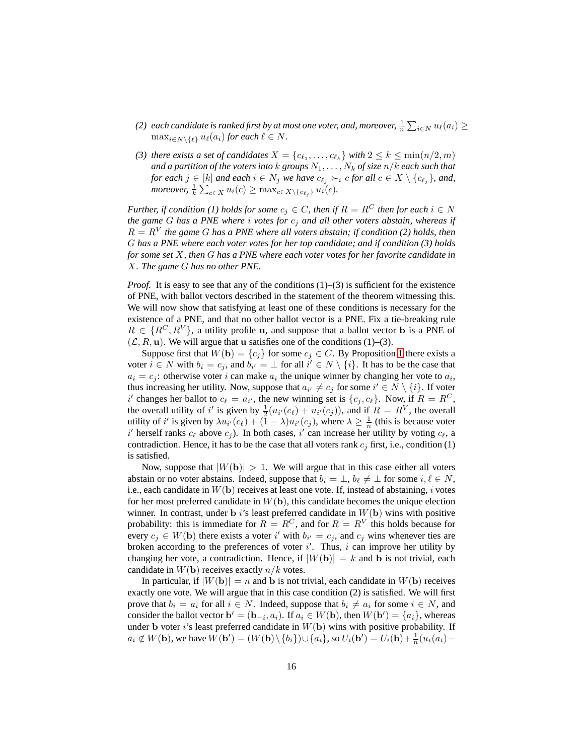- (2) each candidate is ranked first by at most one voter, and, moreover,  $\frac{1}{n} \sum_{i \in N} u_\ell(a_i) \geq$  $\max_{i \in N \setminus \{\ell\}} u_{\ell}(a_i)$  *for each*  $\ell \in N$ *.*
- *(3) there exists a set of candidates*  $X = \{c_{\ell_1}, \ldots, c_{\ell_k}\}$  *with*  $2 \leq k \leq \min(n/2, m)$ *and a partition of the voters into*  $k$  *groups*  $N_1, \ldots, N_k$  *of size*  $n/k$  *each such that for each*  $j \in [k]$  *and each*  $i \in N_j$  *we have*  $c_{\ell_j} \succ_i c$  *for all*  $c \in X \setminus \{c_{\ell_j}\}$ *, and, moreover,*  $\frac{1}{k} \sum_{c \in X} u_i(c) \geq \max_{c \in X \setminus \{c_{\ell_j}\}} u_i(c)$ .

*Further, if condition (1) holds for some*  $c_j \in C$ *, then if*  $R = R^C$  *then for each*  $i \in N$ *the game* G *has a PNE where* i *votes for* c<sup>j</sup> *and all other voters abstain, whereas if*  $R = R<sup>V</sup>$  the game G has a PNE where all voters abstain; if condition (2) holds, then G *has a PNE where each voter votes for her top candidate; and if condition (3) holds for some set* X*, then* G *has a PNE where each voter votes for her favorite candidate in* X*. The game* G *has no other PNE.*

*Proof.* It is easy to see that any of the conditions  $(1)$ – $(3)$  is sufficient for the existence of PNE, with ballot vectors described in the statement of the theorem witnessing this. We will now show that satisfying at least one of these conditions is necessary for the existence of a PNE, and that no other ballot vector is a PNE. Fix a tie-breaking rule  $R \in \{R^C, R^V\}$ , a utility profile u, and suppose that a ballot vector **b** is a PNE of  $(\mathcal{L}, R, \mathbf{u})$ . We will argue that u satisfies one of the conditions (1)–(3).

Suppose first that  $W(\mathbf{b}) = \{c_i\}$  for some  $c_i \in C$ . By Proposition [1](#page-4-0) there exists a voter  $i \in N$  with  $b_i = c_j$ , and  $b_{i'} = \perp$  for all  $i' \in N \setminus \{i\}$ . It has to be the case that  $a_i = c_j$ : otherwise voter i can make  $a_i$  the unique winner by changing her vote to  $a_i$ , thus increasing her utility. Now, suppose that  $a_{i'} \neq c_j$  for some  $i' \in N \setminus \{i\}$ . If voter i' changes her ballot to  $c_{\ell} = a_{i'}$ , the new winning set is  $\{c_j, c_{\ell}\}\$ . Now, if  $R = R^C$ , the overall utility of i' is given by  $\frac{1}{2}(u_{i'}(c_\ell) + u_{i'}(c_j))$ , and if  $R = R^V$ , the overall utility of i' is given by  $\lambda u_{i'}(c_\ell) + (1 - \lambda)u_{i'}(c_j)$ , where  $\lambda \ge \frac{1}{n}$  (this is because voter i' herself ranks  $c_{\ell}$  above  $c_j$ ). In both cases, i' can increase her utility by voting  $c_{\ell}$ , a contradiction. Hence, it has to be the case that all voters rank  $c_j$  first, i.e., condition (1) is satisfied.

Now, suppose that  $|W(\mathbf{b})| > 1$ . We will argue that in this case either all voters abstain or no voter abstains. Indeed, suppose that  $b_i = \perp, b_\ell \neq \perp$  for some  $i, \ell \in N$ , i.e., each candidate in  $W(\mathbf{b})$  receives at least one vote. If, instead of abstaining, i votes for her most preferred candidate in  $W(\mathbf{b})$ , this candidate becomes the unique election winner. In contrast, under b i's least preferred candidate in  $W(\mathbf{b})$  wins with positive probability: this is immediate for  $R = R^C$ , and for  $R = R^V$  this holds because for every  $c_j \in W(\mathbf{b})$  there exists a voter i' with  $b_{i'} = c_j$ , and  $c_j$  wins whenever ties are broken according to the preferences of voter  $i'$ . Thus,  $i$  can improve her utility by changing her vote, a contradiction. Hence, if  $|W(\mathbf{b})| = k$  and b is not trivial, each candidate in  $W(\mathbf{b})$  receives exactly  $n/k$  votes.

In particular, if  $|W(\mathbf{b})| = n$  and b is not trivial, each candidate in  $W(\mathbf{b})$  receives exactly one vote. We will argue that in this case condition (2) is satisfied. We will first prove that  $b_i = a_i$  for all  $i \in N$ . Indeed, suppose that  $b_i \neq a_i$  for some  $i \in N$ , and consider the ballot vector  $\mathbf{b}' = (\mathbf{b}_{-i}, a_i)$ . If  $a_i \in W(\mathbf{b})$ , then  $W(\mathbf{b}') = \{a_i\}$ , whereas under b voter i's least preferred candidate in  $W(\mathbf{b})$  wins with positive probability. If  $a_i \notin W(\mathbf{b})$ , we have  $W(\mathbf{b}') = (W(\mathbf{b}) \setminus \{b_i\}) \cup \{a_i\}$ , so  $U_i(\mathbf{b}') = U_i(\mathbf{b}) + \frac{1}{n}(u_i(a_i) -$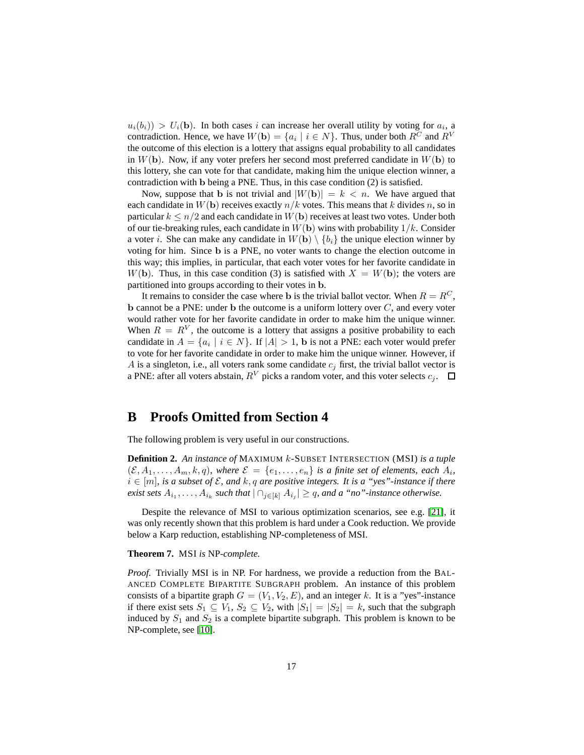$u_i(b_i) > U_i(b)$ . In both cases i can increase her overall utility by voting for  $a_i$ , a contradiction. Hence, we have  $W(\mathbf{b}) = \{a_i \mid i \in N\}$ . Thus, under both  $R^C$  and  $R^V$ the outcome of this election is a lottery that assigns equal probability to all candidates in  $W(\mathbf{b})$ . Now, if any voter prefers her second most preferred candidate in  $W(\mathbf{b})$  to this lottery, she can vote for that candidate, making him the unique election winner, a contradiction with b being a PNE. Thus, in this case condition (2) is satisfied.

Now, suppose that b is not trivial and  $|W(b)| = k < n$ . We have argued that each candidate in  $W(\mathbf{b})$  receives exactly  $n/k$  votes. This means that k divides n, so in particular  $k \leq n/2$  and each candidate in  $W(\mathbf{b})$  receives at least two votes. Under both of our tie-breaking rules, each candidate in  $W(\mathbf{b})$  wins with probability  $1/k$ . Consider a voter *i*. She can make any candidate in  $W(\mathbf{b}) \setminus \{b_i\}$  the unique election winner by voting for him. Since b is a PNE, no voter wants to change the election outcome in this way; this implies, in particular, that each voter votes for her favorite candidate in  $W(\mathbf{b})$ . Thus, in this case condition (3) is satisfied with  $X = W(\mathbf{b})$ ; the voters are partitioned into groups according to their votes in b.

It remains to consider the case where **b** is the trivial ballot vector. When  $R = R^C$ ,  $\bf{b}$  cannot be a PNE: under  $\bf{b}$  the outcome is a uniform lottery over  $C$ , and every voter would rather vote for her favorite candidate in order to make him the unique winner. When  $R = R^{V}$ , the outcome is a lottery that assigns a positive probability to each candidate in  $A = \{a_i \mid i \in N\}$ . If  $|A| > 1$ , b is not a PNE: each voter would prefer to vote for her favorite candidate in order to make him the unique winner. However, if A is a singleton, i.e., all voters rank some candidate  $c_i$  first, the trivial ballot vector is a PNE: after all voters abstain,  $R^V$  picks a random voter, and this voter selects  $c_i$ .  $\Box$ 

# **B Proofs Omitted from Section 4**

The following problem is very useful in our constructions.

**Definition 2.** *An instance of* MAXIMUM k-SUBSET INTERSECTION (MSI) *is a tuple*  $(\mathcal{E}, A_1, \ldots, A_m, k, q)$ , where  $\mathcal{E} = \{e_1, \ldots, e_n\}$  is a finite set of elements, each  $A_i$ ,  $i \in [m]$ , is a subset of  $\mathcal{E}$ , and  $k$ ,  $q$  are positive integers. It is a "yes"-instance if there *exist sets*  $A_{i_1}, \ldots, A_{i_k}$  *such that*  $| \bigcap_{j \in [k]} A_{i_j} | \ge q$ *, and a "no"-instance otherwise.* 

Despite the relevance of MSI to various optimization scenarios, see e.g. [\[21\]](#page-13-3), it was only recently shown that this problem is hard under a Cook reduction. We provide below a Karp reduction, establishing NP-completeness of MSI.

#### **Theorem 7.** MSI *is* NP*-complete.*

*Proof.* Trivially MSI is in NP. For hardness, we provide a reduction from the BAL-ANCED COMPLETE BIPARTITE SUBGRAPH problem. An instance of this problem consists of a bipartite graph  $G = (V_1, V_2, E)$ , and an integer k. It is a "yes"-instance if there exist sets  $S_1 \subseteq V_1$ ,  $S_2 \subseteq V_2$ , with  $|S_1| = |S_2| = k$ , such that the subgraph induced by  $S_1$  and  $S_2$  is a complete bipartite subgraph. This problem is known to be NP-complete, see [\[10\]](#page-12-16).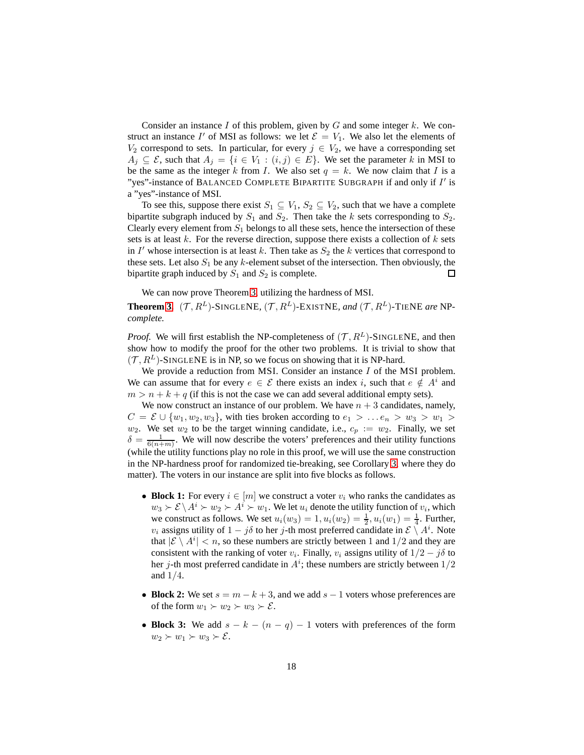Consider an instance  $I$  of this problem, given by  $G$  and some integer  $k$ . We construct an instance I' of MSI as follows: we let  $\mathcal{E} = V_1$ . We also let the elements of  $V_2$  correspond to sets. In particular, for every  $j \in V_2$ , we have a corresponding set  $A_i \subseteq \mathcal{E}$ , such that  $A_i = \{i \in V_1 : (i,j) \in E\}$ . We set the parameter k in MSI to be the same as the integer k from I. We also set  $q = k$ . We now claim that I is a "yes"-instance of BALANCED COMPLETE BIPARTITE SUBGRAPH if and only if I' is a "yes"-instance of MSI.

To see this, suppose there exist  $S_1 \subseteq V_1$ ,  $S_2 \subseteq V_2$ , such that we have a complete bipartite subgraph induced by  $S_1$  and  $S_2$ . Then take the k sets corresponding to  $S_2$ . Clearly every element from  $S_1$  belongs to all these sets, hence the intersection of these sets is at least  $k$ . For the reverse direction, suppose there exists a collection of  $k$  sets in  $I'$  whose intersection is at least k. Then take as  $S_2$  the k vertices that correspond to these sets. Let also  $S_1$  be any k-element subset of the intersection. Then obviously, the bipartite graph induced by  $S_1$  and  $S_2$  is complete.  $\Box$ 

We can now prove Theorem [3,](#page-8-1) utilizing the hardness of MSI.

**Theorem [3.](#page-8-1)** ( $\mathcal{T}, R^L$ )-SINGLENE, ( $\mathcal{T}, R^L$ )-EXISTNE, and ( $\mathcal{T}, R^L$ )-TIENE are NP*complete.*

*Proof.* We will first establish the NP-completeness of  $(\mathcal{T}, R^L)$ -SINGLENE, and then show how to modify the proof for the other two problems. It is trivial to show that  $(\mathcal{T}, R^L)$ -SINGLENE is in NP, so we focus on showing that it is NP-hard.

We provide a reduction from MSI. Consider an instance  $I$  of the MSI problem. We can assume that for every  $e \in \mathcal{E}$  there exists an index i, such that  $e \notin A^i$  and  $m > n + k + q$  (if this is not the case we can add several additional empty sets).

We now construct an instance of our problem. We have  $n + 3$  candidates, namely,  $C = \mathcal{E} \cup \{w_1, w_2, w_3\}$ , with ties broken according to  $e_1 > ... e_n > w_3 > w_1 >$  $w_2$ . We set  $w_2$  to be the target winning candidate, i.e.,  $c_p := w_2$ . Finally, we set  $\delta = \frac{1}{6(n+m)}$ . We will now describe the voters' preferences and their utility functions (while the utility functions play no role in this proof, we will use the same construction in the NP-hardness proof for randomized tie-breaking, see Corollary [3,](#page-9-0) where they do matter). The voters in our instance are split into five blocks as follows.

- **Block 1:** For every  $i \in [m]$  we construct a voter  $v_i$  who ranks the candidates as  $w_3 \succ \mathcal{E} \setminus A^i \succ w_2 \succ A^i \succ w_1$  . We let  $u_i$  denote the utility function of  $v_i$ , which we construct as follows. We set  $u_i(w_3) = 1, u_i(w_2) = \frac{1}{2}, u_i(w_1) = \frac{1}{4}$ . Further,  $v_i$  assigns utility of  $1 - j\delta$  to her j-th most preferred candidate in  $\mathcal{E} \setminus A^i$ . Note that  $|\mathcal{E} \setminus A^i| < n$ , so these numbers are strictly between 1 and  $1/2$  and they are consistent with the ranking of voter  $v_i$ . Finally,  $v_i$  assigns utility of  $1/2 - j\delta$  to her j-th most preferred candidate in  $A^i$ ; these numbers are strictly between  $1/2$ and 1/4.
- **Block 2:** We set  $s = m k + 3$ , and we add  $s 1$  voters whose preferences are of the form  $w_1 \succ w_2 \succ w_3 \succ \mathcal{E}$ .
- **Block 3:** We add  $s k (n q) 1$  voters with preferences of the form  $w_2 \succ w_1 \succ w_3 \succ \mathcal{E}.$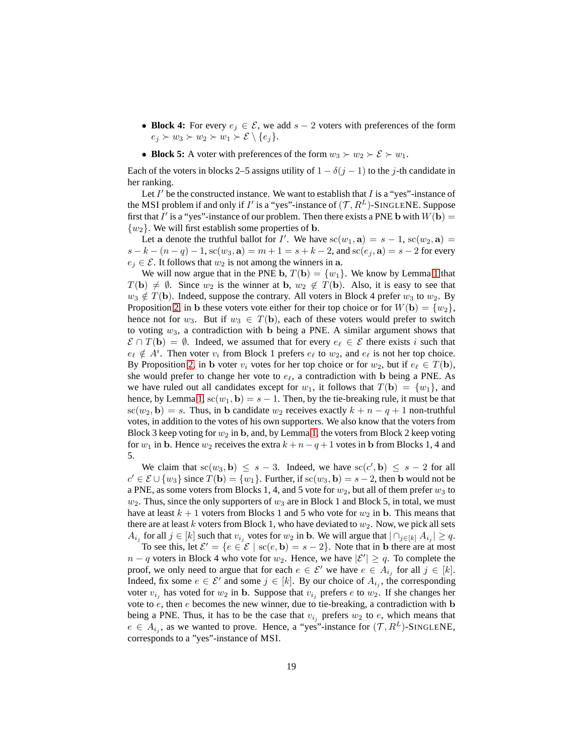- **Block 4:** For every  $e_j \in \mathcal{E}$ , we add  $s 2$  voters with preferences of the form  $e_j \succ w_3 \succ w_2 \succ w_1 \succ \mathcal{E} \setminus \{e_j\}.$
- **Block 5:** A voter with preferences of the form  $w_3 \succ w_2 \succ \mathcal{E} \succ w_1$ .

Each of the voters in blocks 2–5 assigns utility of  $1 - \delta(j - 1)$  to the j-th candidate in her ranking.

Let  $I'$  be the constructed instance. We want to establish that  $I$  is a "yes"-instance of the MSI problem if and only if I' is a "yes"-instance of  $(\mathcal{T}, R^L)$ -SINGLENE. Suppose first that I' is a "yes"-instance of our problem. Then there exists a PNE b with  $W(\mathbf{b}) =$  $\{w_2\}$ . We will first establish some properties of **b**.

Let a denote the truthful ballot for I'. We have  $sc(w_1, \mathbf{a}) = s - 1$ ,  $sc(w_2, \mathbf{a}) =$  $s - k - (n - q) - 1$ ,  $sc(w_3, a) = m + 1 = s + k - 2$ , and  $sc(e_i, a) = s - 2$  for every  $e_j \in \mathcal{E}$ . It follows that  $w_2$  is not among the winners in a.

We will now argue that in the PNE b,  $T(b) = \{w_1\}$ . We know by Lemma [1](#page-7-1) that  $T(\mathbf{b}) \neq \emptyset$ . Since  $w_2$  is the winner at b,  $w_2 \notin T(\mathbf{b})$ . Also, it is easy to see that  $w_3 \notin T(\mathbf{b})$ . Indeed, suppose the contrary. All voters in Block 4 prefer  $w_3$  to  $w_2$ . By Proposition [2,](#page-6-2) in b these voters vote either for their top choice or for  $W(\mathbf{b}) = \{w_2\}$ , hence not for  $w_3$ . But if  $w_3 \in T(\mathbf{b})$ , each of these voters would prefer to switch to voting  $w_3$ , a contradiction with b being a PNE. A similar argument shows that  $\mathcal{E} \cap T(\mathbf{b}) = \emptyset$ . Indeed, we assumed that for every  $e_{\ell} \in \mathcal{E}$  there exists i such that  $e_{\ell} \notin A^{i}$ . Then voter  $v_i$  from Block 1 prefers  $e_{\ell}$  to  $w_2$ , and  $e_{\ell}$  is not her top choice. By Proposition [2,](#page-6-2) in b voter  $v_i$  votes for her top choice or for  $w_2$ , but if  $e_\ell \in T(\mathbf{b})$ , she would prefer to change her vote to  $e_{\ell}$ , a contradiction with b being a PNE. As we have ruled out all candidates except for  $w_1$ , it follows that  $T(\mathbf{b}) = \{w_1\}$ , and hence, by Lemma [1,](#page-7-1)  $sc(w_1, \mathbf{b}) = s - 1$ . Then, by the tie-breaking rule, it must be that  $\text{sc}(w_2, \mathbf{b}) = s$ . Thus, in b candidate  $w_2$  receives exactly  $k + n - q + 1$  non-truthful votes, in addition to the votes of his own supporters. We also know that the voters from Block 3 keep voting for  $w_2$  in b, and, by Lemma [1,](#page-7-1) the voters from Block 2 keep voting for  $w_1$  in b. Hence  $w_2$  receives the extra  $k + n - q + 1$  votes in b from Blocks 1, 4 and 5.

We claim that  $\mathrm{sc}(w_3, \mathbf{b}) \leq s - 3$ . Indeed, we have  $\mathrm{sc}(c', \mathbf{b}) \leq s - 2$  for all  $c' \in \mathcal{E} \cup \{w_3\}$  since  $T(\mathbf{b}) = \{w_1\}$ . Further, if  $\mathrm{sc}(w_3, \mathbf{b}) = s - 2$ , then b would not be a PNE, as some voters from Blocks 1, 4, and 5 vote for  $w_2$ , but all of them prefer  $w_3$  to  $w_2$ . Thus, since the only supporters of  $w_3$  are in Block 1 and Block 5, in total, we must have at least  $k + 1$  voters from Blocks 1 and 5 who vote for  $w_2$  in b. This means that there are at least k voters from Block 1, who have deviated to  $w_2$ . Now, we pick all sets  $A_{i_j}$  for all  $j \in [k]$  such that  $v_{i_j}$  votes for  $w_2$  in b. We will argue that  $| \bigcap_{j \in [k]} A_{i_j} | \ge q$ .

To see this, let  $\mathcal{E}' = \{e \in \mathcal{E} \mid sc(e, \mathbf{b}) = s - 2\}$ . Note that in b there are at most  $n - q$  voters in Block 4 who vote for  $w_2$ . Hence, we have  $|\mathcal{E}'| \geq q$ . To complete the proof, we only need to argue that for each  $e \in \mathcal{E}'$  we have  $e \in A_{i_j}$  for all  $j \in [k]$ . Indeed, fix some  $e \in \mathcal{E}'$  and some  $j \in [k]$ . By our choice of  $A_{i_j}$ , the corresponding voter  $v_{i_j}$  has voted for  $w_2$  in b. Suppose that  $v_{i_j}$  prefers e to  $w_2$ . If she changes her vote to  $e$ , then  $e$  becomes the new winner, due to tie-breaking, a contradiction with b being a PNE. Thus, it has to be the case that  $v_i$  prefers  $w_2$  to e, which means that  $e \in A_{i_j}$ , as we wanted to prove. Hence, a "yes"-instance for  $(\mathcal{T}, R^L)$ -SINGLENE, corresponds to a "yes"-instance of MSI.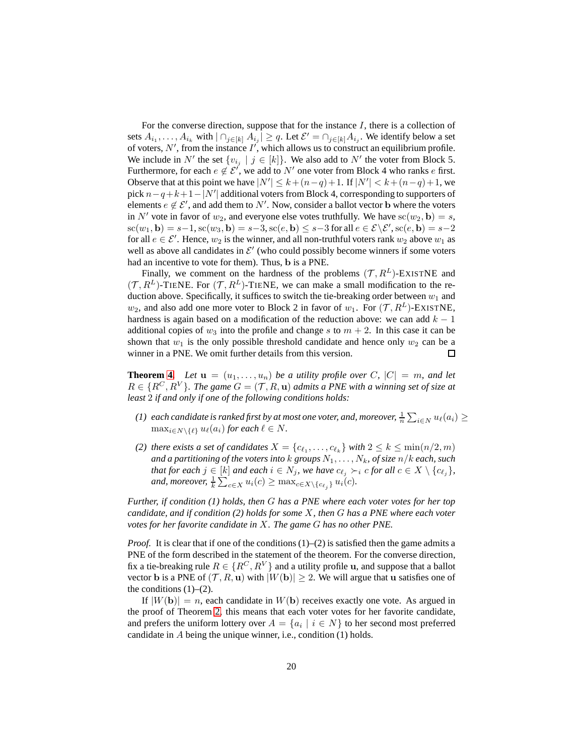For the converse direction, suppose that for the instance  $I$ , there is a collection of sets  $A_{i_1}, \ldots, A_{i_k}$  with  $|\bigcap_{j \in [k]} A_{i_j}| \ge q$ . Let  $\mathcal{E}' = \bigcap_{j \in [k]} A_{i_j}$ . We identify below a set of voters,  $N'$ , from the instance  $I'$ , which allows us to construct an equilibrium profile. We include in N' the set  $\{v_{i,j} \mid j \in [k]\}$ . We also add to N' the voter from Block 5. Furthermore, for each  $e \notin \mathcal{E}^{\prime}$ , we add to  $N^{\prime}$  one voter from Block 4 who ranks  $e$  first. Observe that at this point we have  $|N'| \leq k + (n-q)+1$ . If  $|N'| < k + (n-q)+1$ , we pick  $n-q+k+1-|N'|$  additional voters from Block 4, corresponding to supporters of elements  $e \notin \mathcal{E}'$ , and add them to N'. Now, consider a ballot vector **b** where the voters in N' vote in favor of  $w_2$ , and everyone else votes truthfully. We have  $sc(w_2, \mathbf{b}) = s$ ,  $\mathrm{sc}(w_1, \mathbf{b}) = s-1, \mathrm{sc}(w_3, \mathbf{b}) = s-3, \mathrm{sc}(e, \mathbf{b}) \leq s-3$  for all  $e \in \mathcal{E} \setminus \mathcal{E}'$ ,  $\mathrm{sc}(e, \mathbf{b}) = s-2$ for all  $e \in \mathcal{E}'$ . Hence,  $w_2$  is the winner, and all non-truthful voters rank  $w_2$  above  $w_1$  as well as above all candidates in  $\mathcal{E}'$  (who could possibly become winners if some voters had an incentive to vote for them). Thus, b is a PNE.

Finally, we comment on the hardness of the problems  $(\mathcal{T}, R^L)$ -EXISTNE and  $(\mathcal{T}, R^L)$ -TIENE. For  $(\mathcal{T}, R^L)$ -TIENE, we can make a small modification to the reduction above. Specifically, it suffices to switch the tie-breaking order between  $w_1$  and  $w_2$ , and also add one more voter to Block 2 in favor of  $w_1$ . For  $(\mathcal{T}, R^L)$ -EXISTNE, hardness is again based on a modification of the reduction above: we can add  $k - 1$ additional copies of  $w_3$  into the profile and change s to  $m + 2$ . In this case it can be shown that  $w_1$  is the only possible threshold candidate and hence only  $w_2$  can be a winner in a PNE. We omit further details from this version. □

**Theorem [4.](#page-8-2)** Let  $\mathbf{u} = (u_1, \ldots, u_n)$  be a utility profile over C,  $|C| = m$ , and let  $R \in \{R^C, R^V\}$ *. The game*  $G = (\mathcal{T}, R, \mathbf{u})$  *admits a PNE with a winning set of size at least* 2 *if and only if one of the following conditions holds:*

- (1) each candidate is ranked first by at most one voter, and, moreover,  $\frac{1}{n} \sum_{i \in N} u_\ell(a_i) \geq$  $\max_{i \in N \setminus \{\ell\}} u_{\ell}(a_i)$  *for each*  $\ell \in N$ *.*
- *(2) there exists a set of candidates*  $X = \{c_{\ell_1}, \ldots, c_{\ell_k}\}$  *with*  $2 \leq k \leq \min(n/2, m)$ *and a partitioning of the voters into*  $k$  *groups*  $N_1, \ldots, N_k$ , *of size*  $n/k$  *each, such that for each*  $j \in [k]$  *and each*  $i \in N_j$ *, we have*  $c_{\ell_j} \succ_i c$  *for all*  $c \in X \setminus \{c_{\ell_j}\}$ *,* and, moreover,  $\frac{1}{k} \sum_{c \in X} u_i(c) \geq \max_{c \in X \setminus \{c_{\ell_j}\}} u_i(c)$ .

*Further, if condition (1) holds, then* G *has a PNE where each voter votes for her top candidate, and if condition (2) holds for some* X*, then* G *has a PNE where each voter votes for her favorite candidate in* X*. The game* G *has no other PNE.*

*Proof.* It is clear that if one of the conditions  $(1)$ – $(2)$  is satisfied then the game admits a PNE of the form described in the statement of the theorem. For the converse direction, fix a tie-breaking rule  $R \in \{R^C, R^V\}$  and a utility profile u, and suppose that a ballot vector b is a PNE of  $(\mathcal{T}, R, u)$  with  $|W(b)| \geq 2$ . We will argue that u satisfies one of the conditions  $(1)$ – $(2)$ .

If  $|W(\mathbf{b})| = n$ , each candidate in  $W(\mathbf{b})$  receives exactly one vote. As argued in the proof of Theorem [2,](#page-5-1) this means that each voter votes for her favorite candidate, and prefers the uniform lottery over  $A = \{a_i \mid i \in N\}$  to her second most preferred candidate in A being the unique winner, i.e., condition (1) holds.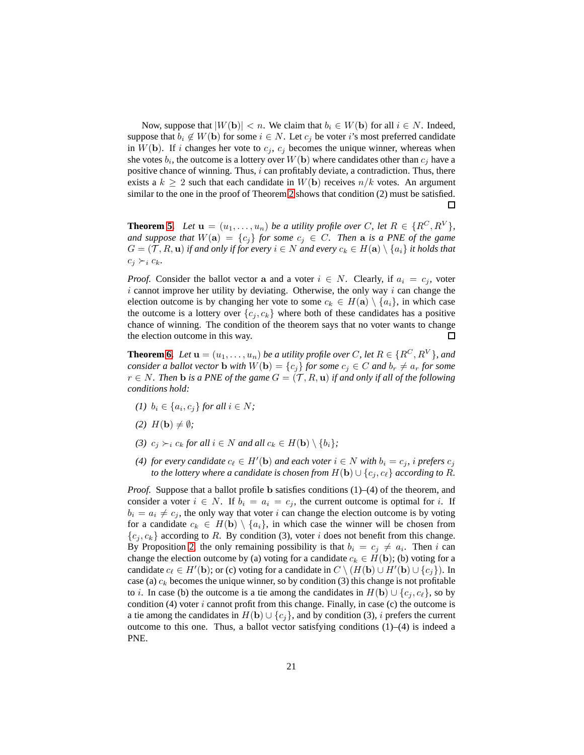Now, suppose that  $|W(\mathbf{b})| < n$ . We claim that  $b_i \in W(\mathbf{b})$  for all  $i \in N$ . Indeed, suppose that  $b_i \notin W(\mathbf{b})$  for some  $i \in N$ . Let  $c_j$  be voter i's most preferred candidate in  $W(\mathbf{b})$ . If i changes her vote to  $c_i$ ,  $c_j$  becomes the unique winner, whereas when she votes  $b_i$ , the outcome is a lottery over  $W({\bf b})$  where candidates other than  $c_j$  have a positive chance of winning. Thus,  $i$  can profitably deviate, a contradiction. Thus, there exists a  $k \geq 2$  such that each candidate in  $W(\mathbf{b})$  receives  $n/k$  votes. An argument similar to the one in the proof of Theorem [2](#page-5-1) shows that condition (2) must be satisfied.  $\Box$ 

**Theorem [5.](#page-8-3)** Let  $\mathbf{u} = (u_1, \ldots, u_n)$  be a utility profile over C, let  $R \in \{R^C, R^V\}$ , *and suppose that*  $W(a) = \{c_j\}$  *for some*  $c_j \in C$ *. Then* **a** *is a PNE of the game*  $G = (\mathcal{T}, R, \mathbf{u})$  *if and only if for every*  $i \in N$  *and every*  $c_k \in H(\mathbf{a}) \setminus \{a_i\}$  *it holds that*  $c_j \succ_i c_k$ .

*Proof.* Consider the ballot vector a and a voter  $i \in N$ . Clearly, if  $a_i = c_j$ , voter  $i$  cannot improve her utility by deviating. Otherwise, the only way  $i$  can change the election outcome is by changing her vote to some  $c_k \in H(\mathbf{a}) \setminus \{a_i\}$ , in which case the outcome is a lottery over  $\{c_i, c_k\}$  where both of these candidates has a positive chance of winning. The condition of the theorem says that no voter wants to change the election outcome in this way. 口

**Theorem [6.](#page-8-0)** *Let*  $\mathbf{u} = (u_1, \ldots, u_n)$  *be a utility profile over* C, let  $R \in \{R^C, R^V\}$ *, and consider a ballot vector* **b** *with*  $W(\mathbf{b}) = \{c_i\}$  *for some*  $c_i \in C$  *and*  $b_r \neq a_r$  *for some*  $r ∈ N$ . Then **b** *is a PNE of the game*  $G = (T, R, u)$  *if and only if all of the following conditions hold:*

- *(1)*  $b_i \in \{a_i, c_j\}$  *for all*  $i \in N$ *;*
- $(2)$   $H(\mathbf{b}) \neq \emptyset$ *;*
- *(3)*  $c_i \succ_i c_k$  *for all*  $i \in N$  *and all*  $c_k \in H(\mathbf{b}) \setminus \{b_i\}$ ;
- *(4) for every candidate*  $c_{\ell} \in H'(\mathbf{b})$  *and each voter*  $i \in N$  *with*  $b_i = c_j$ *, i prefers*  $c_j$ *to the lottery where a candidate is chosen from*  $H(\mathbf{b}) \cup \{c_i, c_\ell\}$  *according to* R.

*Proof.* Suppose that a ballot profile b satisfies conditions (1)–(4) of the theorem, and consider a voter  $i \in N$ . If  $b_i = a_i = c_j$ , the current outcome is optimal for i. If  $b_i = a_i \neq c_j$ , the only way that voter i can change the election outcome is by voting for a candidate  $c_k \in H(\mathbf{b}) \setminus \{a_i\}$ , in which case the winner will be chosen from  ${c_i, c_k}$  according to R. By condition (3), voter i does not benefit from this change. By Proposition [2,](#page-6-2) the only remaining possibility is that  $b_i = c_j \neq a_i$ . Then i can change the election outcome by (a) voting for a candidate  $c_k \in H(\mathbf{b})$ ; (b) voting for a candidate  $c_\ell \in H'(\mathbf{b})$ ; or (c) voting for a candidate in  $C \setminus (H(\mathbf{b}) \cup H'(\mathbf{b}) \cup \{c_j\})$ . In case (a)  $c_k$  becomes the unique winner, so by condition (3) this change is not profitable to *i*. In case (b) the outcome is a tie among the candidates in  $H(\mathbf{b}) \cup \{c_j, c_\ell\}$ , so by condition (4) voter  $i$  cannot profit from this change. Finally, in case (c) the outcome is a tie among the candidates in  $H(\mathbf{b}) \cup \{c_i\}$ , and by condition (3), i prefers the current outcome to this one. Thus, a ballot vector satisfying conditions (1)–(4) is indeed a PNE.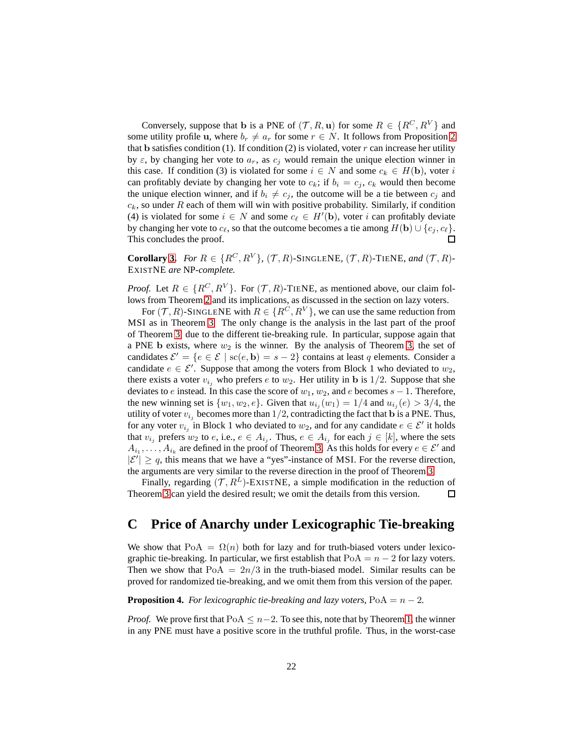Conversely, suppose that **b** is a PNE of  $(\mathcal{T}, R, \mathbf{u})$  for some  $R \in \{R^C, R^V\}$  and some utility profile u, where  $b_r \neq a_r$  for some  $r \in N$ . It follows from Proposition [2](#page-6-2) that b satisfies condition (1). If condition (2) is violated, voter  $r$  can increase her utility by  $\varepsilon$ , by changing her vote to  $a_r$ , as  $c_j$  would remain the unique election winner in this case. If condition (3) is violated for some  $i \in N$  and some  $c_k \in H(\mathbf{b})$ , voter i can profitably deviate by changing her vote to  $c_k$ ; if  $b_i = c_j$ ,  $c_k$  would then become the unique election winner, and if  $b_i \neq c_j$ , the outcome will be a tie between  $c_j$  and  $c_k$ , so under R each of them will win with positive probability. Similarly, if condition (4) is violated for some  $i \in N$  and some  $c_{\ell} \in H'(\mathbf{b})$ , voter i can profitably deviate by changing her vote to  $c_{\ell}$ , so that the outcome becomes a tie among  $H(\mathbf{b}) \cup \{c_j, c_{\ell}\}.$ This concludes the proof. 口

**Corollary [3.](#page-9-0)** For  $R \in \{R^C, R^V\}$ ,  $(\mathcal{T}, R)$ -SINGLENE,  $(\mathcal{T}, R)$ -TIENE, and  $(\mathcal{T}, R)$ -EXISTNE *are* NP*-complete.*

*Proof.* Let  $R \in \{R^C, R^V\}$ . For  $(\mathcal{T}, R)$ -TIENE, as mentioned above, our claim follows from Theorem [2](#page-5-1) and its implications, as discussed in the section on lazy voters.

For  $(\mathcal{T}, R)$ -SINGLENE with  $R \in \{R^C, R^V\}$ , we can use the same reduction from MSI as in Theorem [3.](#page-8-1) The only change is the analysis in the last part of the proof of Theorem [3,](#page-8-1) due to the different tie-breaking rule. In particular, suppose again that a PNE b exists, where  $w_2$  is the winner. By the analysis of Theorem [3,](#page-8-1) the set of candidates  $\mathcal{E}' = \{e \in \mathcal{E} \mid \text{sc}(e, \mathbf{b}) = s - 2\}$  contains at least q elements. Consider a candidate  $e \in \mathcal{E}'$ . Suppose that among the voters from Block 1 who deviated to  $w_2$ , there exists a voter  $v_{i_j}$  who prefers e to  $w_2$ . Her utility in b is 1/2. Suppose that she deviates to e instead. In this case the score of  $w_1, w_2$ , and e becomes  $s - 1$ . Therefore, the new winning set is  $\{w_1, w_2, e\}$ . Given that  $u_{i_j}(w_1) = 1/4$  and  $u_{i_j}(e) > 3/4$ , the utility of voter  $v_{i_j}$  becomes more than  $1/2$ , contradicting the fact that b is a PNE. Thus, for any voter  $v_{i_j}$  in Block 1 who deviated to  $w_2$ , and for any candidate  $e \in \mathcal{E}'$  it holds that  $v_{i_j}$  prefers  $w_2$  to  $e$ , i.e.,  $e \in A_{i_j}$ . Thus,  $e \in A_{i_j}$  for each  $j \in [k]$ , where the sets  $A_{i_1}, \ldots, A_{i_k}$  are defined in the proof of Theorem [3.](#page-8-1) As this holds for every  $e \in \mathcal{E}'$  and  $|\mathcal{E}'| \geq q$ , this means that we have a "yes"-instance of MSI. For the reverse direction, the arguments are very similar to the reverse direction in the proof of Theorem [3.](#page-8-1)

Finally, regarding  $(\mathcal{T}, R^L)$ -EXISTNE, a simple modification in the reduction of Theorem [3](#page-8-1) can yield the desired result; we omit the details from this version.  $\Box$ 

## **C Price of Anarchy under Lexicographic Tie-breaking**

We show that  $PoA = \Omega(n)$  both for lazy and for truth-biased voters under lexicographic tie-breaking. In particular, we first establish that  $PoA = n - 2$  for lazy voters. Then we show that  $PoA = 2n/3$  in the truth-biased model. Similar results can be proved for randomized tie-breaking, and we omit them from this version of the paper.

<span id="page-21-0"></span>**Proposition 4.** *For lexicographic tie-breaking and lazy voters,*  $PoA = n - 2$ *.* 

*Proof.* We prove first that  $PoA \leq n-2$ . To see this, note that by Theorem [1,](#page-5-0) the winner in any PNE must have a positive score in the truthful profile. Thus, in the worst-case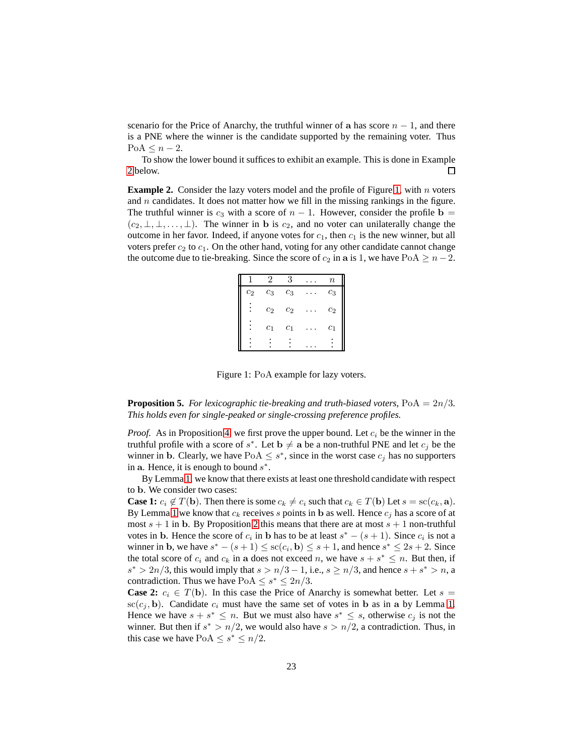scenario for the Price of Anarchy, the truthful winner of a has score  $n - 1$ , and there is a PNE where the winner is the candidate supported by the remaining voter. Thus  $PoA \leq n-2$ .

To show the lower bound it suffices to exhibit an example. This is done in Example [2](#page-22-0) below. п

<span id="page-22-0"></span>**Example 2.** Consider the lazy voters model and the profile of Figure [1,](#page-22-1) with n voters and  $n$  candidates. It does not matter how we fill in the missing rankings in the figure. The truthful winner is  $c_3$  with a score of  $n - 1$ . However, consider the profile b =  $(c_2, \perp, \perp, \ldots, \perp)$ . The winner in b is  $c_2$ , and no voter can unilaterally change the outcome in her favor. Indeed, if anyone votes for  $c_1$ , then  $c_1$  is the new winner, but all voters prefer  $c_2$  to  $c_1$ . On the other hand, voting for any other candidate cannot change the outcome due to tie-breaking. Since the score of  $c_2$  in a is 1, we have PoA  $\geq n-2$ .

|       |                | 3              | $\it n$        |
|-------|----------------|----------------|----------------|
| $c_2$ | $c_3$          | $c_3$          | $\mathbb{c}_3$ |
|       | c <sub>2</sub> | $c_2$          | $c_2$          |
|       | $c_1$          | c <sub>1</sub> | $c_1$          |
|       |                |                |                |

<span id="page-22-1"></span>Figure 1: PoA example for lazy voters.

**Proposition 5.** *For lexicographic tie-breaking and truth-biased voters,*  $PoA = 2n/3$ *. This holds even for single-peaked or single-crossing preference profiles.*

*Proof.* As in Proposition [4,](#page-21-0) we first prove the upper bound. Let  $c_i$  be the winner in the truthful profile with a score of  $s^*$ . Let  $\mathbf{b} \neq \mathbf{a}$  be a non-truthful PNE and let  $c_j$  be the winner in b. Clearly, we have  $PoA \leq s^*$ , since in the worst case  $c_j$  has no supporters in a. Hence, it is enough to bound  $s^*$ .

By Lemma [1,](#page-7-1) we know that there exists at least one threshold candidate with respect to b. We consider two cases:

**Case 1:**  $c_i \notin T(\mathbf{b})$ . Then there is some  $c_k \neq c_i$  such that  $c_k \in T(\mathbf{b})$  Let  $s = \text{sc}(c_k, \mathbf{a})$ . By Lemma [1](#page-7-1) we know that  $c_k$  receives s points in b as well. Hence  $c_j$  has a score of at most  $s + 1$  in b. By Proposition [2](#page-6-2) this means that there are at most  $s + 1$  non-truthful votes in b. Hence the score of  $c_i$  in b has to be at least  $s^* - (s + 1)$ . Since  $c_i$  is not a winner in b, we have  $s^* - (s+1) \leq sc(c_i, \mathbf{b}) \leq s+1$ , and hence  $s^* \leq 2s+2$ . Since the total score of  $c_i$  and  $c_k$  in a does not exceed n, we have  $s + s^* \leq n$ . But then, if  $s^* > 2n/3$ , this would imply that  $s > n/3 - 1$ , i.e.,  $s \geq n/3$ , and hence  $s + s^* > n$ , a contradiction. Thus we have  $PoA \leq s^* \leq 2n/3$ .

**Case 2:**  $c_i \in T(\mathbf{b})$ . In this case the Price of Anarchy is somewhat better. Let  $s =$  $\mathrm{sc}(c_j, \mathbf{b})$ . Candidate  $c_i$  must have the same set of votes in b as in a by Lemma [1.](#page-7-1) Hence we have  $s + s^* \leq n$ . But we must also have  $s^* \leq s$ , otherwise  $c_j$  is not the winner. But then if  $s^* > n/2$ , we would also have  $s > n/2$ , a contradiction. Thus, in this case we have  $PoA \leq s^* \leq n/2$ .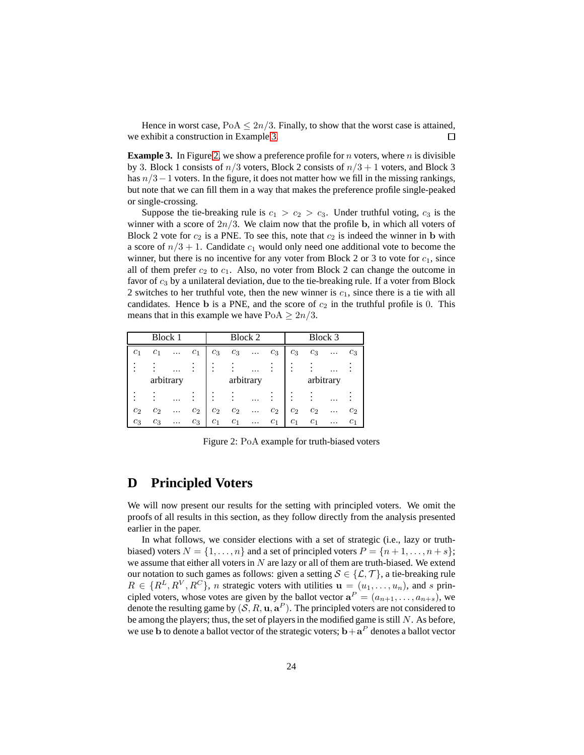Hence in worst case,  $PoA \leq 2n/3$ . Finally, to show that the worst case is attained, we exhibit a construction in Example [3.](#page-23-0) П

<span id="page-23-0"></span>**Example 3.** In Figure [2,](#page-23-1) we show a preference profile for *n* voters, where *n* is divisible by 3. Block 1 consists of  $n/3$  voters, Block 2 consists of  $n/3 + 1$  voters, and Block 3 has  $n/3-1$  voters. In the figure, it does not matter how we fill in the missing rankings, but note that we can fill them in a way that makes the preference profile single-peaked or single-crossing.

Suppose the tie-breaking rule is  $c_1 > c_2 > c_3$ . Under truthful voting,  $c_3$  is the winner with a score of  $2n/3$ . We claim now that the profile b, in which all voters of Block 2 vote for  $c_2$  is a PNE. To see this, note that  $c_2$  is indeed the winner in b with a score of  $n/3 + 1$ . Candidate  $c_1$  would only need one additional vote to become the winner, but there is no incentive for any voter from Block 2 or 3 to vote for  $c_1$ , since all of them prefer  $c_2$  to  $c_1$ . Also, no voter from Block 2 can change the outcome in favor of  $c_3$  by a unilateral deviation, due to the tie-breaking rule. If a voter from Block 2 switches to her truthful vote, then the new winner is  $c_1$ , since there is a tie with all candidates. Hence b is a PNE, and the score of  $c_2$  in the truthful profile is 0. This means that in this example we have  $PoA \geq 2n/3$ .

| Block 1   |                |  | Block 2        |                | Block 3        |          |                |                |           |   |                     |
|-----------|----------------|--|----------------|----------------|----------------|----------|----------------|----------------|-----------|---|---------------------|
| $c_1$     | c <sub>1</sub> |  | c <sub>1</sub> | $c_3$          | $c_3$          |          | $c_3$          | $c_3$          | $c_3$     |   | $c_3$               |
|           |                |  |                |                |                |          |                |                |           |   |                     |
| arbitrary |                |  |                |                | arbitrary      |          |                |                | arbitrary |   |                     |
|           |                |  |                |                |                |          |                |                |           |   |                     |
| $c_2$     | c <sub>2</sub> |  | $c_2$          | c <sub>2</sub> | c <sub>2</sub> |          | $c_2$          | c <sub>2</sub> | $c_2$     |   | $\scriptstyle{c_2}$ |
| $c_3$     | $c_3$          |  | $c_3$          | c <sub>1</sub> | c <sub>1</sub> | $\cdots$ | c <sub>1</sub> | c <sub>1</sub> | $c_{1}$   | . | $_{c_1}$            |

<span id="page-23-1"></span>Figure 2: PoA example for truth-biased voters

### **D Principled Voters**

We will now present our results for the setting with principled voters. We omit the proofs of all results in this section, as they follow directly from the analysis presented earlier in the paper.

In what follows, we consider elections with a set of strategic (i.e., lazy or truthbiased) voters  $N = \{1, \ldots, n\}$  and a set of principled voters  $P = \{n+1, \ldots, n+s\}$ ; we assume that either all voters in  $N$  are lazy or all of them are truth-biased. We extend our notation to such games as follows: given a setting  $S \in \{L, \mathcal{T}\}\$ , a tie-breaking rule  $R \in \{R^L, R^V, R^C\}$ , *n* strategic voters with utilities  $\mathbf{u} = (u_1, \dots, u_n)$ , and *s* principled voters, whose votes are given by the ballot vector  $\mathbf{a}^P = (a_{n+1}, \dots, a_{n+s})$ , we denote the resulting game by  $(S, R, \mathbf{u}, \mathbf{a}^P)$ . The principled voters are not considered to be among the players; thus, the set of players in the modified game is still  $N$ . As before, we use **b** to denote a ballot vector of the strategic voters;  $\mathbf{b} + \mathbf{a}^P$  denotes a ballot vector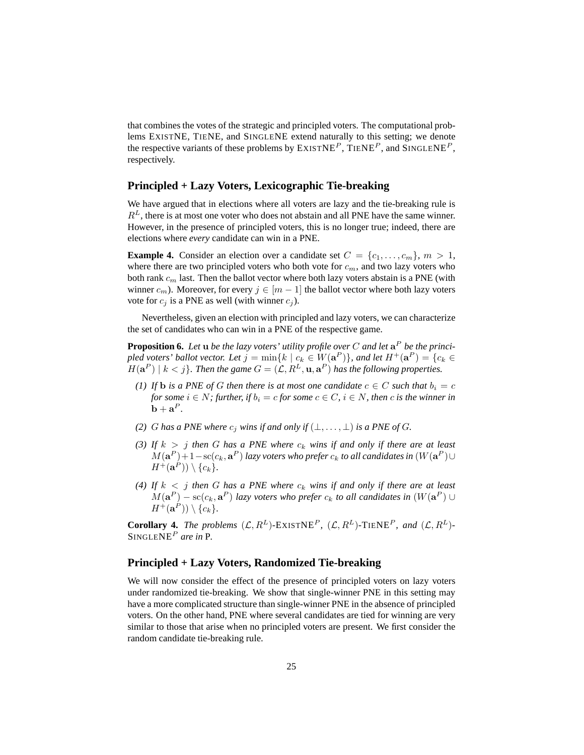that combines the votes of the strategic and principled voters. The computational problems EXISTNE, TIENE, and SINGLENE extend naturally to this setting; we denote the respective variants of these problems by  $EXISTNE<sup>P</sup>$ ,  $TIERE<sup>P</sup>$ , and  $SINGLENE<sup>P</sup>$ , respectively.

#### **Principled + Lazy Voters, Lexicographic Tie-breaking**

We have argued that in elections where all voters are lazy and the tie-breaking rule is  $R<sup>L</sup>$ , there is at most one voter who does not abstain and all PNE have the same winner. However, in the presence of principled voters, this is no longer true; indeed, there are elections where *every* candidate can win in a PNE.

**Example 4.** Consider an election over a candidate set  $C = \{c_1, \ldots, c_m\}, m > 1$ , where there are two principled voters who both vote for  $c_m$ , and two lazy voters who both rank  $c_m$  last. Then the ballot vector where both lazy voters abstain is a PNE (with winner  $c_m$ ). Moreover, for every  $j \in [m-1]$  the ballot vector where both lazy voters vote for  $c_i$  is a PNE as well (with winner  $c_i$ ).

Nevertheless, given an election with principled and lazy voters, we can characterize the set of candidates who can win in a PNE of the respective game.

**Proposition 6.** Let  $u$  be the lazy voters' utility profile over  $C$  and let  $a^P$  be the princi*pled voters' ballot vector. Let*  $j = \min\{k \mid c_k \in W(\mathbf{a}^P)\}$ *, and let*  $H^+(\mathbf{a}^P) = \{c_k \in$  $H(\mathbf{a}^P) \mid k < j$ . Then the game  $G = (\mathcal{L}, R^L, \mathbf{u}, \mathbf{a}^P)$  has the following properties.

- *(1) If* **b** *is a PNE of G then there is at most one candidate*  $c \in C$  *such that*  $b_i = c$ *for some*  $i \in N$ *; further, if*  $b_i = c$  *for some*  $c \in C$ *,*  $i \in N$ *, then c is the winner in*  $\mathbf{b} + \mathbf{a}^P$ .
- *(2) G* has a PNE where  $c_j$  wins if and only if  $(\perp, \ldots, \perp)$  is a PNE of G.
- (3) If  $k > j$  then G has a PNE where  $c_k$  wins if and only if there are at least  $M(\mathbf{a}^P)+1-\mathrm{sc}(c_k,\mathbf{a}^P)$  lazy voters who prefer  $c_k$  to all candidates in  $(W(\mathbf{a}^P)\cup$  $H^{+}(\mathbf{a}^P)) \setminus \{c_k\}.$
- (4) If  $k < j$  then G has a PNE where  $c_k$  wins if and only if there are at least  $M(\mathbf{a}^P) - \mathrm{sc}(c_k, \mathbf{a}^P)$  lazy voters who prefer  $c_k$  to all candidates in  $(W(\mathbf{a}^P) \cup$  $H^+({\bf a}^P))\setminus \{c_k\}.$

**Corollary 4.** *The problems*  $(L, R^L)$ -EXISTNE<sup>P</sup>,  $(L, R^L)$ -TIENE<sup>P</sup>, and  $(L, R^L)$ -SINGLENE<sup>P</sup> *are in* P*.*

#### **Principled + Lazy Voters, Randomized Tie-breaking**

We will now consider the effect of the presence of principled voters on lazy voters under randomized tie-breaking. We show that single-winner PNE in this setting may have a more complicated structure than single-winner PNE in the absence of principled voters. On the other hand, PNE where several candidates are tied for winning are very similar to those that arise when no principled voters are present. We first consider the random candidate tie-breaking rule.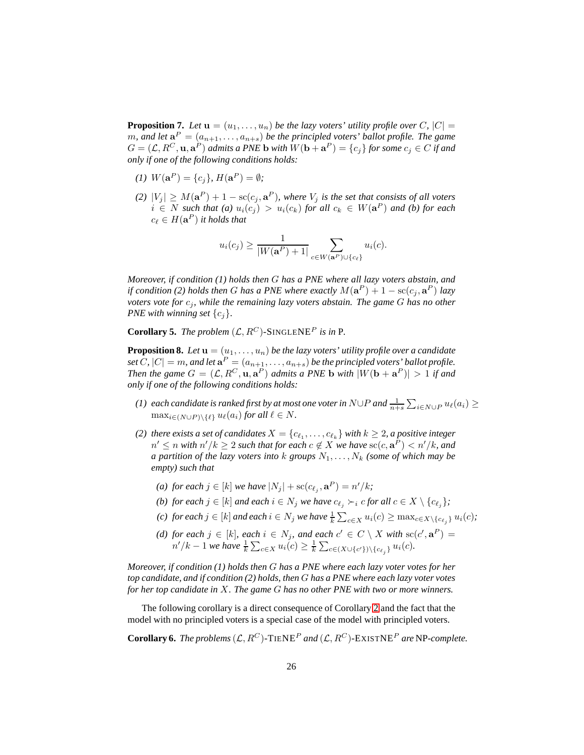<span id="page-25-0"></span>**Proposition 7.** Let  $\mathbf{u} = (u_1, \ldots, u_n)$  be the lazy voters' utility profile over C,  $|C|$  =  $m$ , and let  $\mathbf{a}^P = (a_{n+1}, \ldots, a_{n+s})$  be the principled voters' ballot profile. The game  $G = (\mathcal{L}, R^C, \mathbf{u}, \mathbf{a}^P)$  admits a PNE **b** with  $W(\mathbf{b} + \mathbf{a}^P) = \{c_j\}$  for some  $c_j \in C$  if and *only if one of the following conditions holds:*

- (1)  $W(\mathbf{a}^P) = \{c_j\}, H(\mathbf{a}^P) = \emptyset$ ;
- *(2)*  $|V_j|$  ≥  $M(\mathbf{a}^P) + 1 \text{sc}(c_j, \mathbf{a}^P)$ , where  $V_j$  is the set that consists of all voters  $i \in N$  such that (a)  $u_i(c_j) > u_i(c_k)$  for all  $c_k ∈ W(\mathbf{a}^P)$  and (b) for each  $c_\ell \in H(\mathbf{a}^P)$  it holds that

$$
u_i(c_j) \ge \frac{1}{|W(\mathbf{a}^P) + 1|} \sum_{c \in W(\mathbf{a}^P) \cup \{c_\ell\}} u_i(c).
$$

*Moreover, if condition (1) holds then* G *has a PNE where all lazy voters abstain, and if condition (2) holds then G has a PNE where exactly*  $M(\mathbf{a}^P) + 1 - \text{sc}(c_j, \mathbf{a}^P)$  *lazy voters vote for*  $c_j$ *, while the remaining lazy voters abstain. The game G has no other PNE with winning set*  $\{c_i\}$ *.* 

<span id="page-25-1"></span>**Corollary 5.** *The problem*  $(L, R^C)$ -SINGLENE<sup>P</sup> *is in* P.

<span id="page-25-2"></span>**Proposition 8.** Let  $\mathbf{u} = (u_1, \ldots, u_n)$  be the lazy voters' utility profile over a candidate set C,  $|C| = m$ , and let  $\mathbf{a}^{P} = (a_{n+1}, \ldots, a_{n+s})$  be the principled voters' ballot profile. *Then the game*  $G = (\mathcal{L}, R^C, \mathbf{u}, \mathbf{a}^P)$  *admits a PNE* **b** *with*  $|W(\mathbf{b} + \mathbf{a}^P)| > 1$  *if and only if one of the following conditions holds:*

- (1) each candidate is ranked first by at most one voter in N∪P and  $\frac{1}{n+s}\sum_{i\in N\cup P}u_\ell(a_i)\geq$  $\max_{i \in (N \cup P) \setminus \{ \ell \}} u_{\ell}(a_i)$  *for all*  $\ell \in N$ *.*
- *(2) there exists a set of candidates*  $X = \{c_{\ell_1}, \ldots, c_{\ell_k}\}$  *with*  $k \geq 2$ *, a positive integer*  $n' \leq n$  with  $n'/k \geq 2$  such that for each  $c \not\in X$  we have  $\operatorname{sc}(c, \mathbf{a}^P) < n'/k$ , and *a partition of the lazy voters into* k *groups*  $N_1, \ldots, N_k$  *(some of which may be empty) such that*
	- (a) for each  $j \in [k]$  we have  $|N_j| + \operatorname{sc}(c_{\ell_j}, \mathbf{a}^P) = n'/k$ ;
	- *(b)* for each  $j \in [k]$  *and each*  $i \in N_j$  *we have*  $c_{\ell_j} \succ_i c$  *for all*  $c \in X \setminus \{c_{\ell_j}\}$ ;
	- *(c)* for each  $j \in [k]$  and each  $i \in N_j$  we have  $\frac{1}{k}$   $\sum_{c \in X} u_i(c) \geq \max_{c \in X \setminus \{c_{\ell_j}\}} u_i(c)$ ;
	- *(d)* for each  $j \in [k]$ , each  $i \in N_j$ , and each  $c' \in C \setminus X$  with  $\operatorname{sc}(c', a^P) =$  $n'/k - 1$  we have  $\frac{1}{k}$   $\sum_{c \in X} u_i(c) \geq \frac{1}{k}$   $\sum_{c \in (X \cup \{c'\}) \setminus \{c_{\ell_j}\}} u_i(c)$ .

*Moreover, if condition (1) holds then* G *has a PNE where each lazy voter votes for her top candidate, and if condition (2) holds, then* G *has a PNE where each lazy voter votes for her top candidate in* X*. The game* G *has no other PNE with two or more winners.*

The following corollary is a direct consequence of Corollary [2](#page-6-1) and the fact that the model with no principled voters is a special case of the model with principled voters.

**Corollary 6.** *The problems*  $(L, R^C)$ -TIENE<sup>P</sup> and  $(L, R^C)$ -EXISTNE<sup>P</sup> are NP-complete.